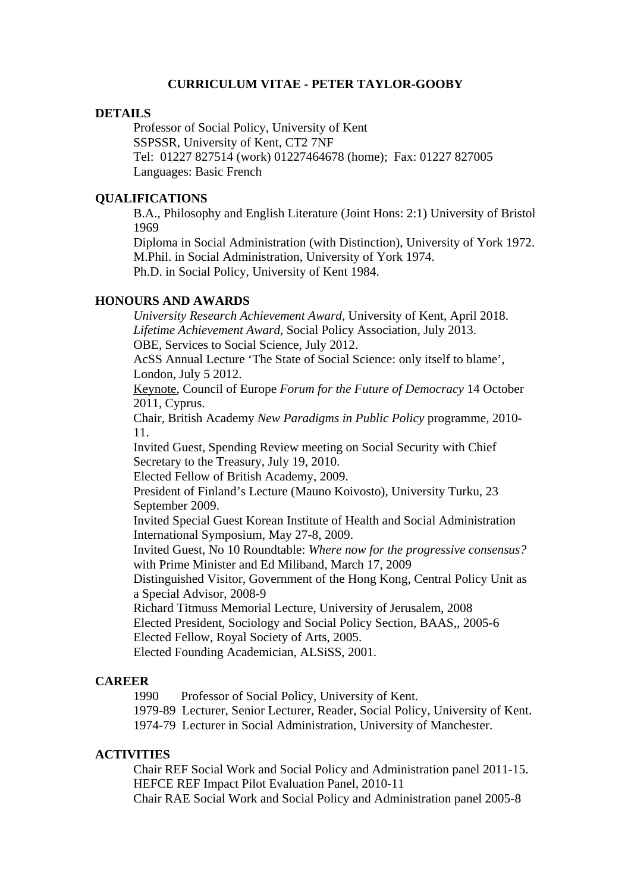# **CURRICULUM VITAE - PETER TAYLOR-GOOBY**

## **DETAILS**

Professor of Social Policy, University of Kent SSPSSR, University of Kent, CT2 7NF Tel: 01227 827514 (work) 01227464678 (home); Fax: 01227 827005 Languages: Basic French

## **QUALIFICATIONS**

B.A., Philosophy and English Literature (Joint Hons: 2:1) University of Bristol 1969

Diploma in Social Administration (with Distinction), University of York 1972. M.Phil. in Social Administration, University of York 1974. Ph.D. in Social Policy, University of Kent 1984.

# **HONOURS AND AWARDS**

*University Research Achievement Award*, University of Kent, April 2018. *Lifetime Achievement Award*, Social Policy Association, July 2013. OBE, Services to Social Science, July 2012.

AcSS Annual Lecture 'The State of Social Science: only itself to blame', London, July 5 2012.

Keynote, Council of Europe *Forum for the Future of Democracy* 14 October 2011, Cyprus.

Chair, British Academy *New Paradigms in Public Policy* programme, 2010- 11.

Invited Guest, Spending Review meeting on Social Security with Chief Secretary to the Treasury, July 19, 2010.

Elected Fellow of British Academy, 2009.

President of Finland's Lecture (Mauno Koivosto), University Turku, 23 September 2009.

Invited Special Guest Korean Institute of Health and Social Administration International Symposium, May 27-8, 2009.

Invited Guest, No 10 Roundtable: *Where now for the progressive consensus?* with Prime Minister and Ed Miliband, March 17, 2009

Distinguished Visitor, Government of the Hong Kong, Central Policy Unit as a Special Advisor, 2008-9

Richard Titmuss Memorial Lecture, University of Jerusalem, 2008

Elected President, Sociology and Social Policy Section, BAAS,, 2005-6 Elected Fellow, Royal Society of Arts, 2005.

Elected Founding Academician, ALSiSS, 2001.

#### **CAREER**

1990 Professor of Social Policy, University of Kent.

1979-89 Lecturer, Senior Lecturer, Reader, Social Policy, University of Kent.

1974-79 Lecturer in Social Administration, University of Manchester.

#### **ACTIVITIES**

Chair REF Social Work and Social Policy and Administration panel 2011-15. HEFCE REF Impact Pilot Evaluation Panel, 2010-11 Chair RAE Social Work and Social Policy and Administration panel 2005-8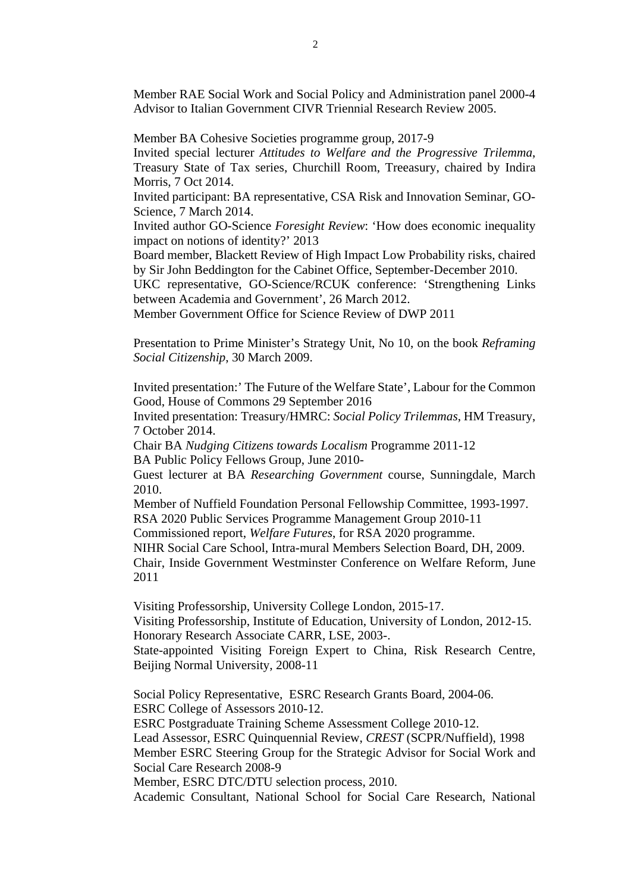Member RAE Social Work and Social Policy and Administration panel 2000-4 Advisor to Italian Government CIVR Triennial Research Review 2005.

Member BA Cohesive Societies programme group, 2017-9

Invited special lecturer *Attitudes to Welfare and the Progressive Trilemma*, Treasury State of Tax series, Churchill Room, Treeasury, chaired by Indira Morris, 7 Oct 2014.

Invited participant: BA representative, CSA Risk and Innovation Seminar, GO-Science, 7 March 2014.

Invited author GO-Science *Foresight Review*: 'How does economic inequality impact on notions of identity?' 2013

Board member, Blackett Review of High Impact Low Probability risks, chaired by Sir John Beddington for the Cabinet Office, September-December 2010.

UKC representative, GO-Science/RCUK conference: 'Strengthening Links between Academia and Government', 26 March 2012.

Member Government Office for Science Review of DWP 2011

Presentation to Prime Minister's Strategy Unit, No 10, on the book *Reframing Social Citizenship*, 30 March 2009.

Invited presentation:' The Future of the Welfare State', Labour for the Common Good, House of Commons 29 September 2016

Invited presentation: Treasury/HMRC: *Social Policy Trilemmas*, HM Treasury, 7 October 2014.

Chair BA *Nudging Citizens towards Localism* Programme 2011-12

BA Public Policy Fellows Group, June 2010-

Guest lecturer at BA *Researching Government* course, Sunningdale, March 2010.

Member of Nuffield Foundation Personal Fellowship Committee, 1993-1997.

RSA 2020 Public Services Programme Management Group 2010-11

Commissioned report, *Welfare Futures*, for RSA 2020 programme.

NIHR Social Care School, Intra-mural Members Selection Board, DH, 2009.

Chair, Inside Government Westminster Conference on Welfare Reform, June 2011

Visiting Professorship, University College London, 2015-17. Visiting Professorship, Institute of Education, University of London, 2012-15. Honorary Research Associate CARR, LSE, 2003-.

State-appointed Visiting Foreign Expert to China, Risk Research Centre, Beijing Normal University, 2008-11

Social Policy Representative, ESRC Research Grants Board, 2004-06. ESRC College of Assessors 2010-12.

ESRC Postgraduate Training Scheme Assessment College 2010-12.

Lead Assessor, ESRC Quinquennial Review, *CREST* (SCPR/Nuffield), 1998

Member ESRC Steering Group for the Strategic Advisor for Social Work and Social Care Research 2008-9

Member, ESRC DTC/DTU selection process, 2010.

Academic Consultant, National School for Social Care Research, National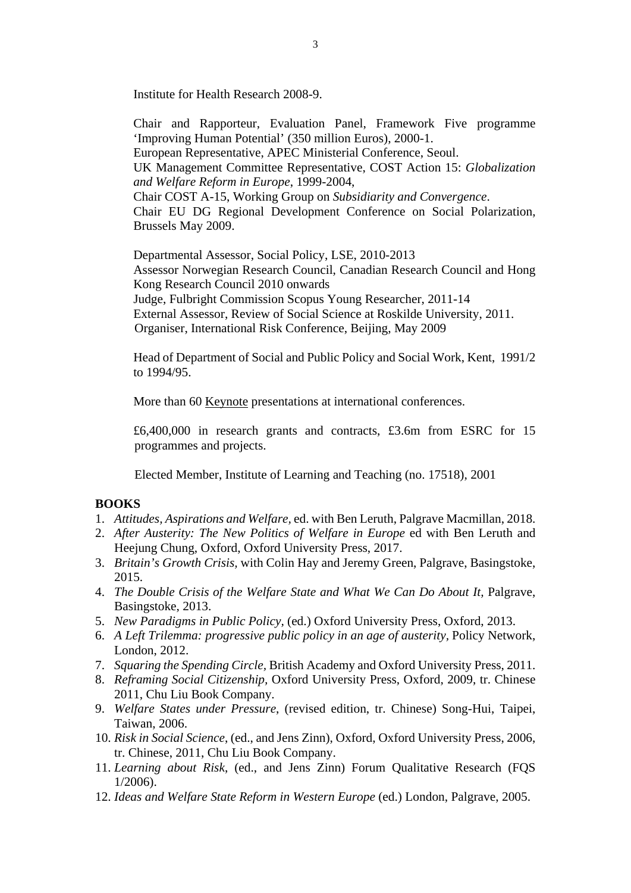Institute for Health Research 2008-9.

Chair and Rapporteur, Evaluation Panel, Framework Five programme 'Improving Human Potential' (350 million Euros), 2000-1. European Representative, APEC Ministerial Conference, Seoul. UK Management Committee Representative, COST Action 15: *Globalization and Welfare Reform in Europe*, 1999-2004, Chair COST A-15, Working Group on *Subsidiarity and Convergence*. Chair EU DG Regional Development Conference on Social Polarization, Brussels May 2009.

Departmental Assessor, Social Policy, LSE, 2010-2013 Assessor Norwegian Research Council, Canadian Research Council and Hong Kong Research Council 2010 onwards Judge, Fulbright Commission Scopus Young Researcher, 2011-14 External Assessor, Review of Social Science at Roskilde University, 2011. Organiser, International Risk Conference, Beijing, May 2009

Head of Department of Social and Public Policy and Social Work, Kent, 1991/2 to 1994/95.

More than 60 Keynote presentations at international conferences.

£6,400,000 in research grants and contracts, £3.6m from ESRC for 15 programmes and projects.

Elected Member, Institute of Learning and Teaching (no. 17518), 2001

#### **BOOKS**

- 1. *Attitudes, Aspirations and Welfare,* ed. with Ben Leruth, Palgrave Macmillan, 2018.
- 2. *After Austerity: The New Politics of Welfare in Europe* ed with Ben Leruth and Heejung Chung, Oxford, Oxford University Press, 2017.
- 3. *Britain's Growth Crisis,* with Colin Hay and Jeremy Green, Palgrave, Basingstoke, 2015.
- 4. *The Double Crisis of the Welfare State and What We Can Do About It, Palgrave,* Basingstoke, 2013.
- 5. *New Paradigms in Public Policy,* (ed.) Oxford University Press, Oxford, 2013.
- 6. *A Left Trilemma: progressive public policy in an age of austerity,* Policy Network, London, 2012.
- 7. *Squaring the Spending Circle,* British Academy and Oxford University Press, 2011.
- 8. *Reframing Social Citizenship,* Oxford University Press, Oxford, 2009, tr. Chinese 2011, Chu Liu Book Company.
- 9. *Welfare States under Pressure*, (revised edition, tr. Chinese) Song-Hui, Taipei, Taiwan, 2006.
- 10. *Risk in Social Science*, (ed., and Jens Zinn), Oxford, Oxford University Press, 2006, tr. Chinese, 2011, Chu Liu Book Company.
- 11. *Learning about Risk*, (ed., and Jens Zinn) Forum Qualitative Research (FQS 1/2006).
- 12. *Ideas and Welfare State Reform in Western Europe* (ed.) London, Palgrave, 2005.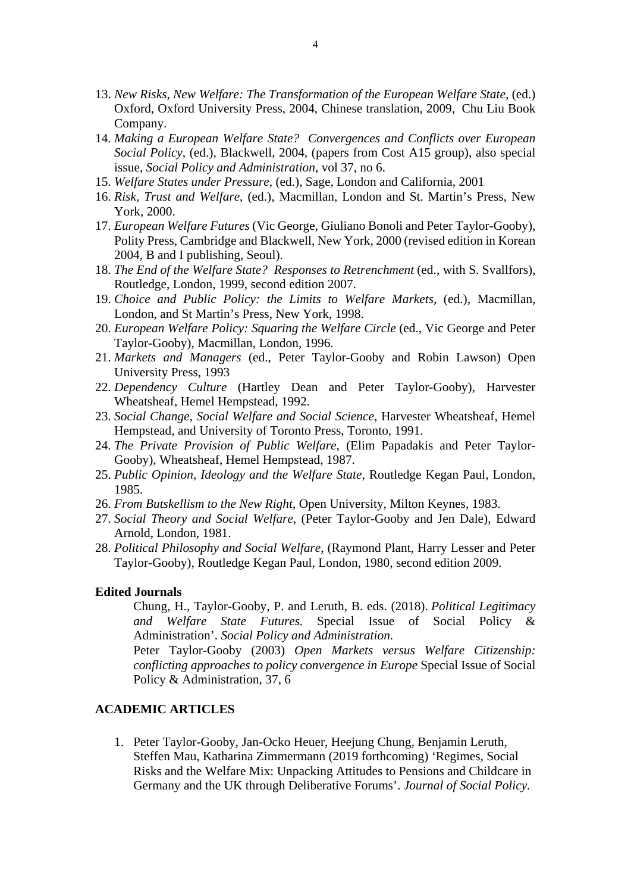- 13. *New Risks, New Welfare: The Transformation of the European Welfare State*, (ed.) Oxford, Oxford University Press, 2004, Chinese translation, 2009, Chu Liu Book Company.
- 14. *Making a European Welfare State? Convergences and Conflicts over European Social Policy*, (ed.), Blackwell, 2004, (papers from Cost A15 group), also special issue, *Social Policy and Administration*, vol 37, no 6.
- 15. *Welfare States under Pressure*, (ed.), Sage, London and California, 2001
- 16. *Risk, Trust and Welfare*, (ed.), Macmillan, London and St. Martin's Press, New York, 2000.
- 17. *European Welfare Futures* (Vic George, Giuliano Bonoli and Peter Taylor-Gooby), Polity Press, Cambridge and Blackwell, New York, 2000 (revised edition in Korean 2004, B and I publishing, Seoul).
- 18. *The End of the Welfare State? Responses to Retrenchment* (ed., with S. Svallfors), Routledge, London, 1999, second edition 2007.
- 19. *Choice and Public Policy: the Limits to Welfare Markets*, (ed.), Macmillan, London, and St Martin's Press, New York, 1998.
- 20. *European Welfare Policy: Squaring the Welfare Circle* (ed., Vic George and Peter Taylor-Gooby), Macmillan, London, 1996.
- 21. *Markets and Managers* (ed., Peter Taylor-Gooby and Robin Lawson) Open University Press, 1993
- 22. *Dependency Culture* (Hartley Dean and Peter Taylor-Gooby), Harvester Wheatsheaf, Hemel Hempstead, 1992.
- 23. *Social Change, Social Welfare and Social Science*, Harvester Wheatsheaf, Hemel Hempstead, and University of Toronto Press, Toronto, 1991.
- 24. *The Private Provision of Public Welfare*, (Elim Papadakis and Peter Taylor-Gooby), Wheatsheaf, Hemel Hempstead, 1987.
- 25. *Public Opinion, Ideology and the Welfare State*, Routledge Kegan Paul, London, 1985.
- 26. *From Butskellism to the New Right*, Open University, Milton Keynes, 1983.
- 27. *Social Theory and Social Welfare*, (Peter Taylor-Gooby and Jen Dale), Edward Arnold, London, 1981.
- 28. *Political Philosophy and Social Welfare*, (Raymond Plant, Harry Lesser and Peter Taylor-Gooby), Routledge Kegan Paul, London, 1980, second edition 2009.

#### **Edited Journals**

Chung, H., Taylor-Gooby, P. and Leruth, B. eds. (2018). *Political Legitimacy and Welfare State Futures.* Special Issue of Social Policy & Administration'. *Social Policy and Administration*.

Peter Taylor-Gooby (2003) *Open Markets versus Welfare Citizenship: conflicting approaches to policy convergence in Europe* Special Issue of Social Policy & Administration, 37, 6

## **ACADEMIC ARTICLES**

1. Peter Taylor-Gooby, Jan-Ocko Heuer, Heejung Chung, Benjamin Leruth, Steffen Mau, Katharina Zimmermann (2019 forthcoming) 'Regimes, Social Risks and the Welfare Mix: Unpacking Attitudes to Pensions and Childcare in Germany and the UK through Deliberative Forums'. *Journal of Social Policy.*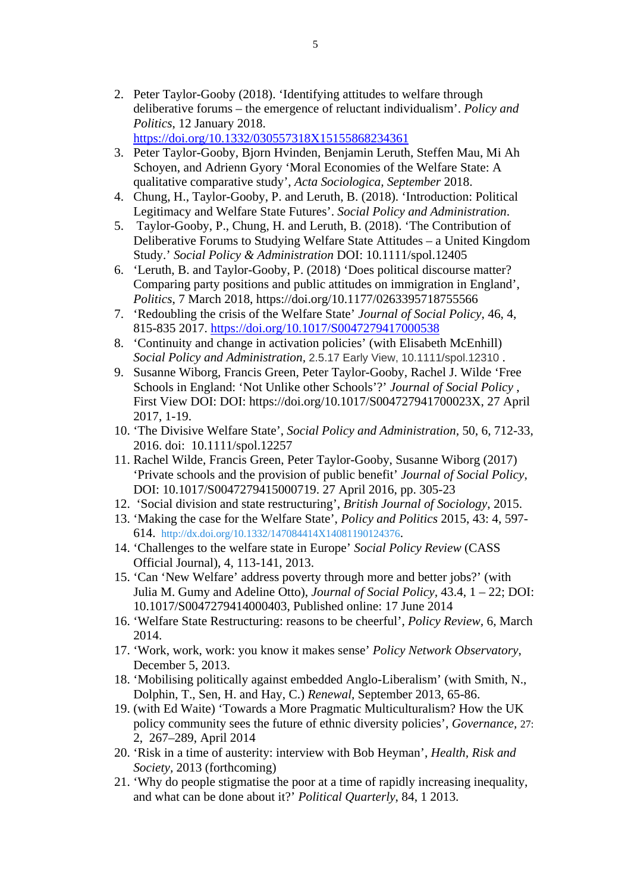2. Peter Taylor-Gooby (2018). 'Identifying attitudes to welfare through deliberative forums – the emergence of reluctant individualism'. *Policy and Politics*, 12 January 2018.

https://doi.org/10.1332/030557318X15155868234361

- 3. Peter Taylor-Gooby, Bjorn Hvinden, Benjamin Leruth, Steffen Mau, Mi Ah Schoyen, and Adrienn Gyory 'Moral Economies of the Welfare State: A qualitative comparative study', *Acta Sociologica, September* 2018.
- 4. Chung, H., Taylor-Gooby, P. and Leruth, B. (2018). 'Introduction: Political Legitimacy and Welfare State Futures'. *Social Policy and Administration*.
- 5. Taylor-Gooby, P., Chung, H. and Leruth, B. (2018). 'The Contribution of Deliberative Forums to Studying Welfare State Attitudes – a United Kingdom Study.' *Social Policy & Administration* DOI: 10.1111/spol.12405
- 6. 'Leruth, B. and Taylor-Gooby, P. (2018) 'Does political discourse matter? Comparing party positions and public attitudes on immigration in England', *Politics*, 7 March 2018, https://doi.org/10.1177/0263395718755566
- 7. 'Redoubling the crisis of the Welfare State' *Journal of Social Policy*, 46, 4, 815-835 2017. https://doi.org/10.1017/S0047279417000538
- 8. 'Continuity and change in activation policies' (with Elisabeth McEnhill) *Social Policy and Administration,* 2.5.17 Early View, 10.1111/spol.12310 .
- 9. Susanne Wiborg, Francis Green, Peter Taylor-Gooby, Rachel J. Wilde 'Free Schools in England: 'Not Unlike other Schools'?' *Journal of Social Policy* , First View DOI: DOI: https://doi.org/10.1017/S004727941700023X, 27 April 2017, 1-19.
- 10. 'The Divisive Welfare State', *Social Policy and Administration,* 50, 6, 712-33, 2016. doi: 10.1111/spol.12257
- 11. Rachel Wilde, Francis Green, Peter Taylor-Gooby, Susanne Wiborg (2017) 'Private schools and the provision of public benefit' *Journal of Social Policy*, DOI: 10.1017/S0047279415000719. 27 April 2016, pp. 305-23
- 12. 'Social division and state restructuring', *British Journal of Sociology*, 2015.
- 13. 'Making the case for the Welfare State', *Policy and Politics* 2015, 43: 4, 597- 614. http://dx.doi.org/10.1332/147084414X14081190124376.
- 14. 'Challenges to the welfare state in Europe' *Social Policy Review* (CASS Official Journal), 4, 113-141, 2013.
- 15. 'Can 'New Welfare' address poverty through more and better jobs?' (with Julia M. Gumy and Adeline Otto), *Journal of Social Policy,* 43.4, 1 – 22; DOI: 10.1017/S0047279414000403, Published online: 17 June 2014
- 16. 'Welfare State Restructuring: reasons to be cheerful', *Policy Review,* 6, March 2014.
- 17. 'Work, work, work: you know it makes sense' *Policy Network Observatory*, December 5, 2013.
- 18. 'Mobilising politically against embedded Anglo-Liberalism' (with Smith, N., Dolphin, T., Sen, H. and Hay, C.) *Renewal,* September 2013, 65-86.
- 19. (with Ed Waite) 'Towards a More Pragmatic Multiculturalism? How the UK policy community sees the future of ethnic diversity policies', *Governance,* 27: 2, 267–289, April 2014
- 20. 'Risk in a time of austerity: interview with Bob Heyman', *Health, Risk and Society,* 2013 (forthcoming)
- 21. 'Why do people stigmatise the poor at a time of rapidly increasing inequality, and what can be done about it?' *Political Quarterly*, 84, 1 2013.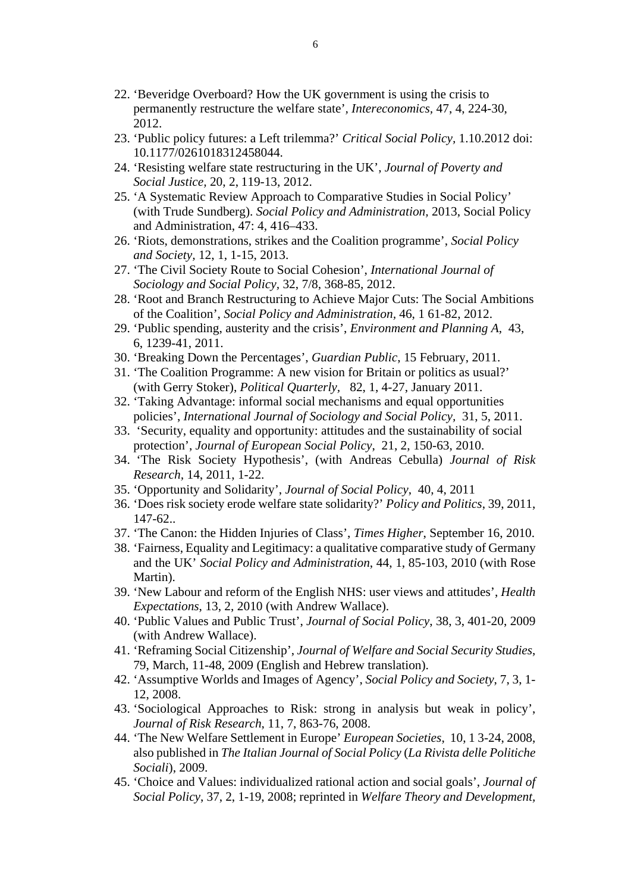- 22. 'Beveridge Overboard? How the UK government is using the crisis to permanently restructure the welfare state'*, Intereconomics,* 47, 4, 224-30, 2012.
- 23. 'Public policy futures: a Left trilemma?' *Critical Social Policy,* 1.10.2012 doi: 10.1177/0261018312458044.
- 24. 'Resisting welfare state restructuring in the UK', *Journal of Poverty and Social Justice,* 20, 2, 119-13, 2012.
- 25. 'A Systematic Review Approach to Comparative Studies in Social Policy' (with Trude Sundberg). *Social Policy and Administration,* 2013, Social Policy and Administration, 47: 4, 416–433.
- 26. 'Riots, demonstrations, strikes and the Coalition programme', *Social Policy and Society,* 12, 1, 1-15, 2013.
- 27. 'The Civil Society Route to Social Cohesion', *International Journal of Sociology and Social Policy,* 32, 7/8, 368-85, 2012.
- 28. 'Root and Branch Restructuring to Achieve Major Cuts: The Social Ambitions of the Coalition', *Social Policy and Administration,* 46, 1 61-82, 2012.
- 29. 'Public spending, austerity and the crisis', *Environment and Planning A*, 43, 6, 1239-41, 2011.
- 30. 'Breaking Down the Percentages', *Guardian Public*, 15 February, 2011.
- 31. 'The Coalition Programme: A new vision for Britain or politics as usual?' (with Gerry Stoker), *Political Quarterly,* 82, 1, 4-27, January 2011.
- 32. 'Taking Advantage: informal social mechanisms and equal opportunities policies', *International Journal of Sociology and Social Policy,* 31, 5, 2011.
- 33. 'Security, equality and opportunity: attitudes and the sustainability of social protection', *Journal of European Social Policy*, 21, 2, 150-63, 2010.
- 34. 'The Risk Society Hypothesis', (with Andreas Cebulla) *Journal of Risk Research,* 14, 2011, 1-22.
- 35. 'Opportunity and Solidarity', *Journal of Social Policy*, 40, 4, 2011
- 36. 'Does risk society erode welfare state solidarity?' *Policy and Politics*, 39, 2011, 147-62..
- 37. 'The Canon: the Hidden Injuries of Class', *Times Higher*, September 16, 2010.
- 38. 'Fairness, Equality and Legitimacy: a qualitative comparative study of Germany and the UK' *Social Policy and Administration*, 44, 1, 85-103, 2010 (with Rose Martin).
- 39. 'New Labour and reform of the English NHS: user views and attitudes', *Health Expectations*, 13, 2, 2010 (with Andrew Wallace).
- 40. 'Public Values and Public Trust', *Journal of Social Policy*, 38, 3, 401-20, 2009 (with Andrew Wallace).
- 41. 'Reframing Social Citizenship', *Journal of Welfare and Social Security Studies*, 79, March, 11-48, 2009 (English and Hebrew translation).
- 42. 'Assumptive Worlds and Images of Agency', *Social Policy and Society*, 7, 3, 1- 12, 2008.
- 43. 'Sociological Approaches to Risk: strong in analysis but weak in policy', *Journal of Risk Research*, 11, 7, 863-76, 2008.
- 44. 'The New Welfare Settlement in Europe' *European Societies*, 10, 1 3-24, 2008, also published in *The Italian Journal of Social Policy* (*La Rivista delle Politiche Sociali*), 2009.
- 45. 'Choice and Values: individualized rational action and social goals', *Journal of Social Policy*, 37, 2, 1-19, 2008; reprinted in *Welfare Theory and Development,*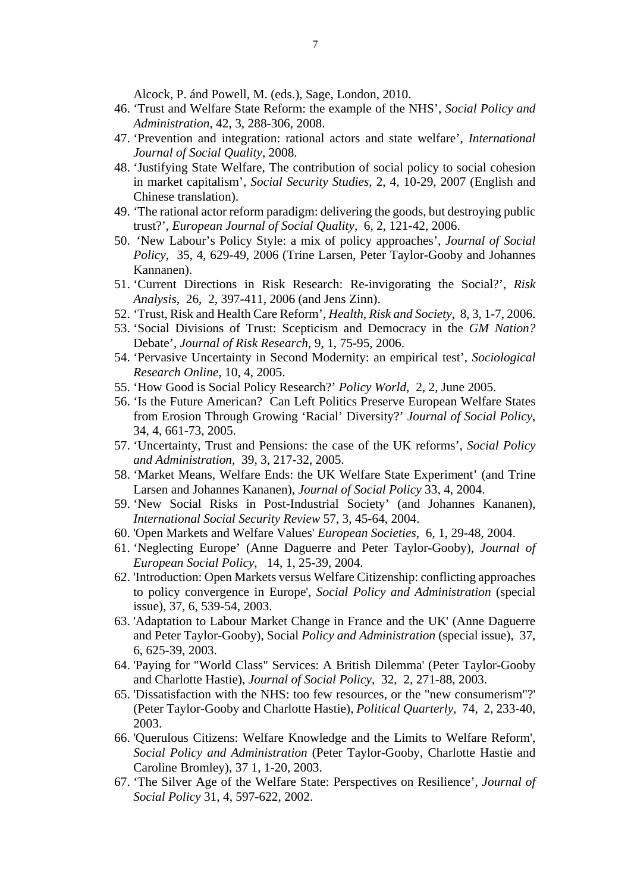Alcock, P. ánd Powell, M. (eds.), Sage, London, 2010.

- 46. 'Trust and Welfare State Reform: the example of the NHS', *Social Policy and Administration*, 42, 3, 288-306, 2008.
- 47. 'Prevention and integration: rational actors and state welfare', *International Journal of Social Quality*, 2008.
- 48. 'Justifying State Welfare, The contribution of social policy to social cohesion in market capitalism', *Social Security Studies*, 2, 4, 10-29, 2007 (English and Chinese translation).
- 49. 'The rational actor reform paradigm: delivering the goods, but destroying public trust?', *European Journal of Social Quality,* 6, 2, 121-42, 2006.
- 50. 'New Labour's Policy Style: a mix of policy approaches', *Journal of Social Policy*, 35, 4, 629-49, 2006 (Trine Larsen, Peter Taylor-Gooby and Johannes Kannanen).
- 51. 'Current Directions in Risk Research: Re-invigorating the Social?', *Risk Analysis*, 26, 2, 397-411, 2006 (and Jens Zinn).
- 52. 'Trust, Risk and Health Care Reform', *Health, Risk and Society*, 8, 3, 1-7, 2006.
- 53. 'Social Divisions of Trust: Scepticism and Democracy in the *GM Nation?* Debate', *Journal of Risk Research*, 9, 1, 75-95, 2006.
- 54. 'Pervasive Uncertainty in Second Modernity: an empirical test', *Sociological Research Online*, 10, 4, 2005.
- 55. 'How Good is Social Policy Research?' *Policy World*, 2, 2, June 2005.
- 56. 'Is the Future American? Can Left Politics Preserve European Welfare States from Erosion Through Growing 'Racial' Diversity?' *Journal of Social Policy*, 34, 4, 661-73, 2005.
- 57. 'Uncertainty, Trust and Pensions: the case of the UK reforms', *Social Policy and Administration*, 39, 3, 217-32, 2005.
- 58. 'Market Means, Welfare Ends: the UK Welfare State Experiment' (and Trine Larsen and Johannes Kananen), *Journal of Social Policy* 33, 4, 2004.
- 59. 'New Social Risks in Post-Industrial Society' (and Johannes Kananen), *International Social Security Review* 57, 3, 45-64, 2004.
- 60. 'Open Markets and Welfare Values' *European Societies*, 6, 1, 29-48, 2004.
- 61. 'Neglecting Europe' (Anne Daguerre and Peter Taylor-Gooby), *Journal of European Social Policy*, 14, 1, 25-39, 2004.
- 62. 'Introduction: Open Markets versus Welfare Citizenship: conflicting approaches to policy convergence in Europe', *Social Policy and Administration* (special issue), 37, 6, 539-54, 2003.
- 63. 'Adaptation to Labour Market Change in France and the UK' (Anne Daguerre and Peter Taylor-Gooby), Social *Policy and Administration* (special issue), 37, 6, 625-39, 2003.
- 64. 'Paying for "World Class" Services: A British Dilemma' (Peter Taylor-Gooby and Charlotte Hastie), *Journal of Social Policy*, 32, 2, 271-88, 2003.
- 65. 'Dissatisfaction with the NHS: too few resources, or the "new consumerism"?' (Peter Taylor-Gooby and Charlotte Hastie), *Political Quarterly*, 74, 2, 233-40, 2003.
- 66. 'Querulous Citizens: Welfare Knowledge and the Limits to Welfare Reform', *Social Policy and Administration* (Peter Taylor-Gooby, Charlotte Hastie and Caroline Bromley), 37 1, 1-20, 2003.
- 67. 'The Silver Age of the Welfare State: Perspectives on Resilience', *Journal of Social Policy* 31, 4, 597-622, 2002.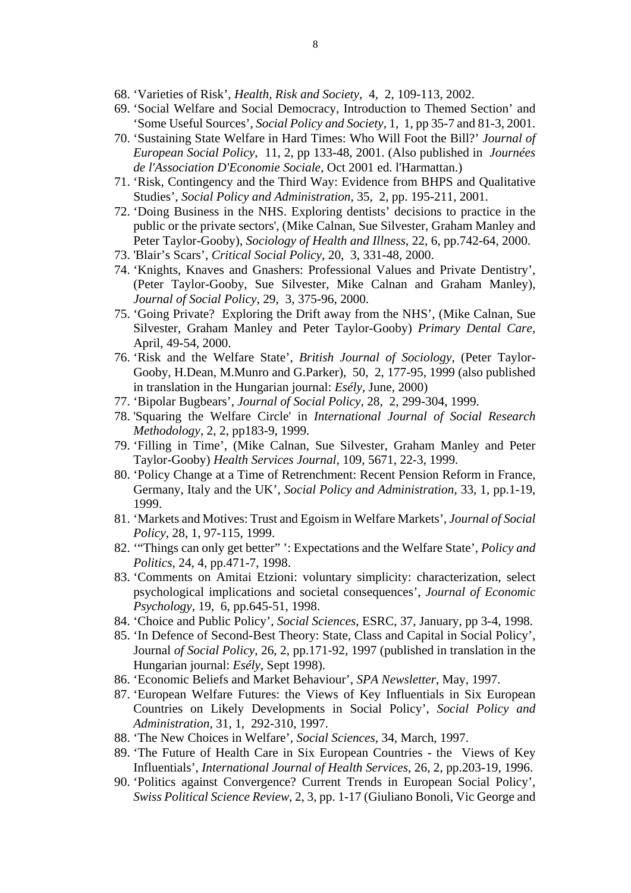- 68. 'Varieties of Risk', *Health, Risk and Society*, 4, 2, 109-113, 2002.
- 69. 'Social Welfare and Social Democracy, Introduction to Themed Section' and 'Some Useful Sources', *Social Policy and Society*, 1, 1, pp 35-7 and 81-3, 2001.
- 70. 'Sustaining State Welfare in Hard Times: Who Will Foot the Bill?' *Journal of European Social Policy*, 11, 2, pp 133-48, 2001. (Also published in *Journées de l'Association D'Economie Sociale*, Oct 2001 ed. l'Harmattan.)
- 71. 'Risk, Contingency and the Third Way: Evidence from BHPS and Qualitative Studies', *Social Policy and Administration*, 35, 2, pp. 195-211, 2001.
- 72. 'Doing Business in the NHS. Exploring dentists' decisions to practice in the public or the private sectors', (Mike Calnan, Sue Silvester, Graham Manley and Peter Taylor-Gooby), *Sociology of Health and Illness*, 22, 6, pp.742-64, 2000.
- 73. 'Blair's Scars', *Critical Social Policy*, 20, 3, 331-48, 2000.
- 74. 'Knights, Knaves and Gnashers: Professional Values and Private Dentistry', (Peter Taylor-Gooby, Sue Silvester, Mike Calnan and Graham Manley), *Journal of Social Policy*, 29, 3, 375-96, 2000.
- 75. 'Going Private? Exploring the Drift away from the NHS', (Mike Calnan, Sue Silvester, Graham Manley and Peter Taylor-Gooby) *Primary Dental Care,* April, 49-54, 2000.
- 76. 'Risk and the Welfare State', *British Journal of Sociology*, (Peter Taylor-Gooby, H.Dean, M.Munro and G.Parker), 50, 2, 177-95, 1999 (also published in translation in the Hungarian journal: *Esély*, June, 2000)
- 77. 'Bipolar Bugbears', *Journal of Social Policy*, 28, 2, 299-304, 1999.
- 78. 'Squaring the Welfare Circle' in *International Journal of Social Research Methodology*, 2, 2, pp183-9, 1999.
- 79. 'Filling in Time', (Mike Calnan, Sue Silvester, Graham Manley and Peter Taylor-Gooby) *Health Services Journal*, 109, 5671, 22-3, 1999.
- 80. 'Policy Change at a Time of Retrenchment: Recent Pension Reform in France, Germany, Italy and the UK', *Social Policy and Administration*, 33, 1, pp.1-19, 1999.
- 81. 'Markets and Motives: Trust and Egoism in Welfare Markets', *Journal of Social Policy*, 28, 1, 97-115, 1999.
- 82. '"Things can only get better" ': Expectations and the Welfare State', *Policy and Politics*, 24, 4, pp.471-7, 1998.
- 83. 'Comments on Amitai Etzioni: voluntary simplicity: characterization, select psychological implications and societal consequences', *Journal of Economic Psychology*, 19, 6, pp.645-51, 1998.
- 84. 'Choice and Public Policy', *Social Sciences*, ESRC, 37, January, pp 3-4, 1998.
- 85. 'In Defence of Second-Best Theory: State, Class and Capital in Social Policy', Journal *of Social Policy*, 26, 2, pp.171-92, 1997 (published in translation in the Hungarian journal: *Esély*, Sept 1998).
- 86. 'Economic Beliefs and Market Behaviour', *SPA Newsletter*, May, 1997.
- 87. 'European Welfare Futures: the Views of Key Influentials in Six European Countries on Likely Developments in Social Policy', *Social Policy and Administration*, 31, 1, 292-310, 1997.
- 88. 'The New Choices in Welfare', *Social Sciences*, 34, March, 1997.
- 89. 'The Future of Health Care in Six European Countries the Views of Key Influentials', *International Journal of Health Services*, 26, 2, pp.203-19, 1996.
- 90. 'Politics against Convergence? Current Trends in European Social Policy', *Swiss Political Science Review*, 2, 3, pp. 1-17 (Giuliano Bonoli, Vic George and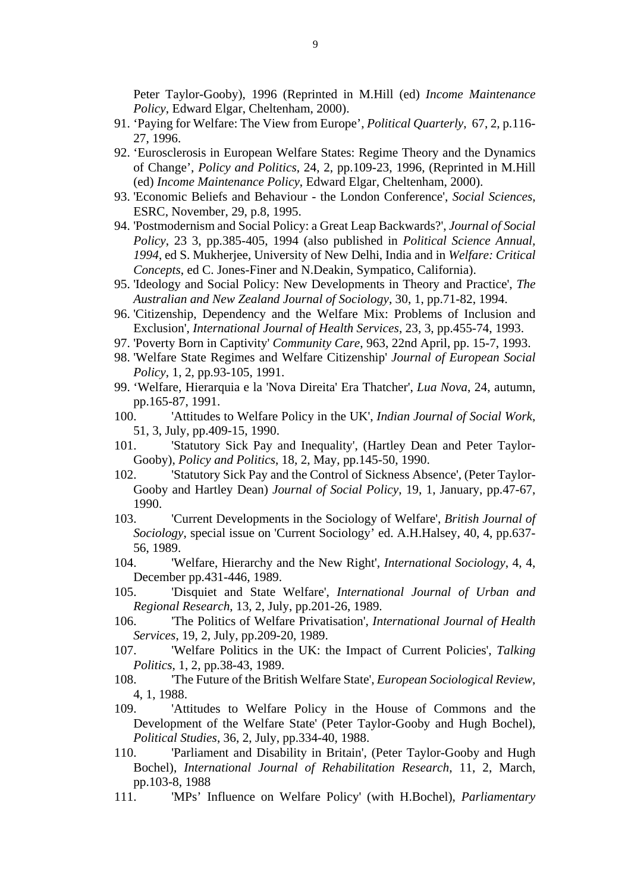Peter Taylor-Gooby), 1996 (Reprinted in M.Hill (ed) *Income Maintenance Policy*, Edward Elgar, Cheltenham, 2000).

- 91. 'Paying for Welfare: The View from Europe', *Political Quarterly*, 67, 2, p.116- 27, 1996.
- 92. 'Eurosclerosis in European Welfare States: Regime Theory and the Dynamics of Change', *Policy and Politics*, 24, 2, pp.109-23, 1996, (Reprinted in M.Hill (ed) *Income Maintenance Policy*, Edward Elgar, Cheltenham, 2000).
- 93. 'Economic Beliefs and Behaviour the London Conference', *Social Sciences*, ESRC, November, 29, p.8, 1995.
- 94. 'Postmodernism and Social Policy: a Great Leap Backwards?', *Journal of Social Policy*, 23 3, pp.385-405, 1994 (also published in *Political Science Annual, 1994*, ed S. Mukherjee, University of New Delhi, India and in *Welfare: Critical Concepts*, ed C. Jones-Finer and N.Deakin, Sympatico, California).
- 95. 'Ideology and Social Policy: New Developments in Theory and Practice', *The Australian and New Zealand Journal of Sociology*, 30, 1, pp.71-82, 1994.
- 96. 'Citizenship, Dependency and the Welfare Mix: Problems of Inclusion and Exclusion', *International Journal of Health Services*, 23, 3, pp.455-74, 1993.
- 97. 'Poverty Born in Captivity' *Community Care*, 963, 22nd April, pp. 15-7, 1993.
- 98. 'Welfare State Regimes and Welfare Citizenship' *Journal of European Social Policy*, 1, 2, pp.93-105, 1991.
- 99. 'Welfare, Hierarquia e la 'Nova Direita' Era Thatcher', *Lua Nova*, 24, autumn, pp.165-87, 1991.
- 100. 'Attitudes to Welfare Policy in the UK', *Indian Journal of Social Work*, 51, 3, July, pp.409-15, 1990.
- 101. 'Statutory Sick Pay and Inequality', (Hartley Dean and Peter Taylor-Gooby), *Policy and Politics*, 18, 2, May, pp.145-50, 1990.
- 102. 'Statutory Sick Pay and the Control of Sickness Absence', (Peter Taylor-Gooby and Hartley Dean) *Journal of Social Policy*, 19, 1, January, pp.47-67, 1990.
- 103. 'Current Developments in the Sociology of Welfare', *British Journal of Sociology*, special issue on 'Current Sociology' ed. A.H.Halsey, 40, 4, pp.637- 56, 1989.
- 104. 'Welfare, Hierarchy and the New Right', *International Sociology*, 4, 4, December pp.431-446, 1989.
- 105. 'Disquiet and State Welfare', *International Journal of Urban and Regional Research*, 13, 2, July, pp.201-26, 1989.
- 106. 'The Politics of Welfare Privatisation', *International Journal of Health Services*, 19, 2, July, pp.209-20, 1989.
- 107. 'Welfare Politics in the UK: the Impact of Current Policies', *Talking Politics*, 1, 2, pp.38-43, 1989.
- 108. 'The Future of the British Welfare State', *European Sociological Review*, 4, 1, 1988.
- 109. 'Attitudes to Welfare Policy in the House of Commons and the Development of the Welfare State' (Peter Taylor-Gooby and Hugh Bochel), *Political Studies*, 36, 2, July, pp.334-40, 1988.
- 110. 'Parliament and Disability in Britain', (Peter Taylor-Gooby and Hugh Bochel), *International Journal of Rehabilitation Research*, 11, 2, March, pp.103-8, 1988
- 111. 'MPs' Influence on Welfare Policy' (with H.Bochel), *Parliamentary*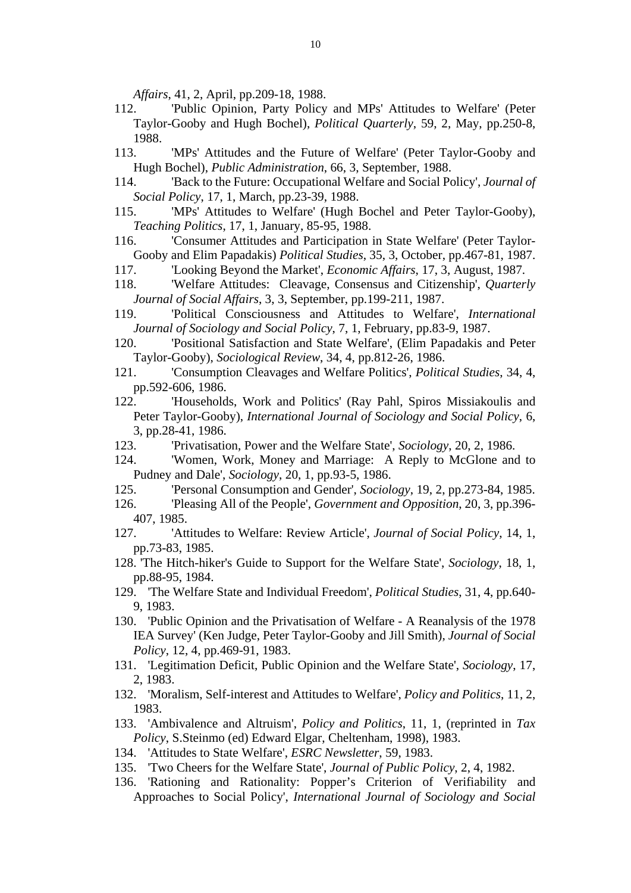*Affairs*, 41, 2, April, pp.209-18, 1988.

- 112. 'Public Opinion, Party Policy and MPs' Attitudes to Welfare' (Peter Taylor-Gooby and Hugh Bochel), *Political Quarterly*, 59, 2, May, pp.250-8, 1988.
- 113. 'MPs' Attitudes and the Future of Welfare' (Peter Taylor-Gooby and Hugh Bochel), *Public Administration*, 66, 3, September, 1988.
- 114. 'Back to the Future: Occupational Welfare and Social Policy', *Journal of Social Policy*, 17, 1, March, pp.23-39, 1988.
- 115. 'MPs' Attitudes to Welfare' (Hugh Bochel and Peter Taylor-Gooby), *Teaching Politics*, 17, 1, January, 85-95, 1988.
- 116. 'Consumer Attitudes and Participation in State Welfare' (Peter Taylor-Gooby and Elim Papadakis) *Political Studies*, 35, 3, October, pp.467-81, 1987.
- 117. 'Looking Beyond the Market', *Economic Affairs*, 17, 3, August, 1987.
- 118. 'Welfare Attitudes: Cleavage, Consensus and Citizenship', *Quarterly Journal of Social Affairs*, 3, 3, September, pp.199-211, 1987.
- 119. 'Political Consciousness and Attitudes to Welfare', *International Journal of Sociology and Social Policy*, 7, 1, February, pp.83-9, 1987.
- 120. 'Positional Satisfaction and State Welfare', (Elim Papadakis and Peter Taylor-Gooby), *Sociological Review*, 34, 4, pp.812-26, 1986.
- 121. 'Consumption Cleavages and Welfare Politics', *Political Studies*, 34, 4, pp.592-606, 1986.
- 122. 'Households, Work and Politics' (Ray Pahl, Spiros Missiakoulis and Peter Taylor-Gooby), *International Journal of Sociology and Social Policy*, 6, 3, pp.28-41, 1986.
- 123. 'Privatisation, Power and the Welfare State', *Sociology*, 20, 2, 1986.
- 124. 'Women, Work, Money and Marriage: A Reply to McGlone and to Pudney and Dale', *Sociology*, 20, 1, pp.93-5, 1986.
- 125. 'Personal Consumption and Gender', *Sociology*, 19, 2, pp.273-84, 1985.
- 126. 'Pleasing All of the People', *Government and Opposition*, 20, 3, pp.396- 407, 1985.
- 127. 'Attitudes to Welfare: Review Article', *Journal of Social Policy*, 14, 1, pp.73-83, 1985.
- 128. 'The Hitch-hiker's Guide to Support for the Welfare State', *Sociology*, 18, 1, pp.88-95, 1984.
- 129. 'The Welfare State and Individual Freedom', *Political Studies*, 31, 4, pp.640- 9, 1983.
- 130. 'Public Opinion and the Privatisation of Welfare A Reanalysis of the 1978 IEA Survey' (Ken Judge, Peter Taylor-Gooby and Jill Smith), *Journal of Social Policy*, 12, 4, pp.469-91, 1983.
- 131. 'Legitimation Deficit, Public Opinion and the Welfare State', *Sociology*, 17, 2, 1983.
- 132. 'Moralism, Self-interest and Attitudes to Welfare', *Policy and Politics*, 11, 2, 1983.
- 133. 'Ambivalence and Altruism', *Policy and Politics*, 11, 1, (reprinted in *Tax Policy*, S.Steinmo (ed) Edward Elgar, Cheltenham, 1998), 1983.
- 134. 'Attitudes to State Welfare', *ESRC Newsletter*, 59, 1983.
- 135. 'Two Cheers for the Welfare State', *Journal of Public Policy*, 2, 4, 1982.
- 136. 'Rationing and Rationality: Popper's Criterion of Verifiability and Approaches to Social Policy', *International Journal of Sociology and Social*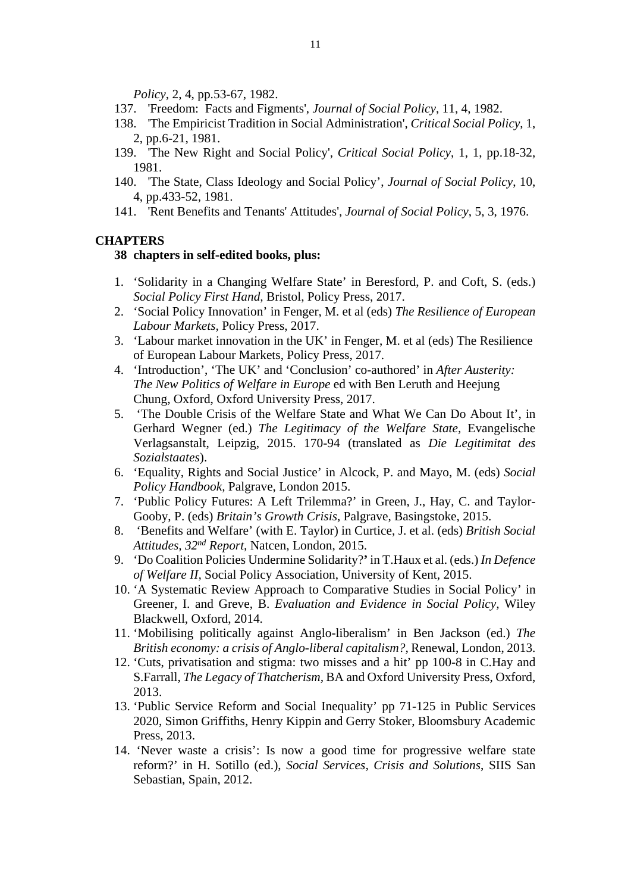*Policy*, 2, 4, pp.53-67, 1982.

- 137. 'Freedom: Facts and Figments', *Journal of Social Policy*, 11, 4, 1982.
- 138. 'The Empiricist Tradition in Social Administration', *Critical Social Policy*, 1, 2, pp.6-21, 1981.
- 139. 'The New Right and Social Policy', *Critical Social Policy*, 1, 1, pp.18-32, 1981.
- 140. 'The State, Class Ideology and Social Policy', *Journal of Social Policy*, 10, 4, pp.433-52, 1981.
- 141. 'Rent Benefits and Tenants' Attitudes', *Journal of Social Policy*, 5, 3, 1976.

#### **CHAPTERS**

#### **38 chapters in self-edited books, plus:**

- 1. 'Solidarity in a Changing Welfare State' in Beresford, P. and Coft, S. (eds.) *Social Policy First Hand,* Bristol, Policy Press, 2017.
- 2. 'Social Policy Innovation' in Fenger, M. et al (eds) *The Resilience of European Labour Markets,* Policy Press, 2017.
- 3. 'Labour market innovation in the UK' in Fenger, M. et al (eds) The Resilience of European Labour Markets, Policy Press, 2017.
- 4. 'Introduction', 'The UK' and 'Conclusion' co-authored' in *After Austerity: The New Politics of Welfare in Europe* ed with Ben Leruth and Heejung Chung, Oxford, Oxford University Press, 2017.
- 5. 'The Double Crisis of the Welfare State and What We Can Do About It', in Gerhard Wegner (ed.) *The Legitimacy of the Welfare State,* Evangelische Verlagsanstalt, Leipzig, 2015. 170-94 (translated as *Die Legitimitat des Sozialstaates*).
- 6. 'Equality, Rights and Social Justice' in Alcock, P. and Mayo, M. (eds) *Social Policy Handbook,* Palgrave, London 2015.
- 7. 'Public Policy Futures: A Left Trilemma?' in Green, J., Hay, C. and Taylor-Gooby, P. (eds) *Britain's Growth Crisis*, Palgrave, Basingstoke, 2015.
- 8. 'Benefits and Welfare' (with E. Taylor) in Curtice, J. et al. (eds) *British Social Attitudes, 32nd Report,* Natcen, London, 2015.
- 9. 'Do Coalition Policies Undermine Solidarity?**'** in T.Haux et al. (eds.) *In Defence of Welfare II,* Social Policy Association, University of Kent, 2015.
- 10. 'A Systematic Review Approach to Comparative Studies in Social Policy' in Greener, I. and Greve, B. *Evaluation and Evidence in Social Policy,* Wiley Blackwell, Oxford, 2014.
- 11. 'Mobilising politically against Anglo-liberalism' in Ben Jackson (ed.) *The British economy: a crisis of Anglo-liberal capitalism?,* Renewal, London, 2013.
- 12. 'Cuts, privatisation and stigma: two misses and a hit' pp 100-8 in C.Hay and S.Farrall, *The Legacy of Thatcherism,* BA and Oxford University Press, Oxford, 2013.
- 13. 'Public Service Reform and Social Inequality' pp 71-125 in Public Services 2020, Simon Griffiths, Henry Kippin and Gerry Stoker, Bloomsbury Academic Press, 2013.
- 14. 'Never waste a crisis': Is now a good time for progressive welfare state reform?' in H. Sotillo (ed.), *Social Services, Crisis and Solutions*, SIIS San Sebastian, Spain, 2012.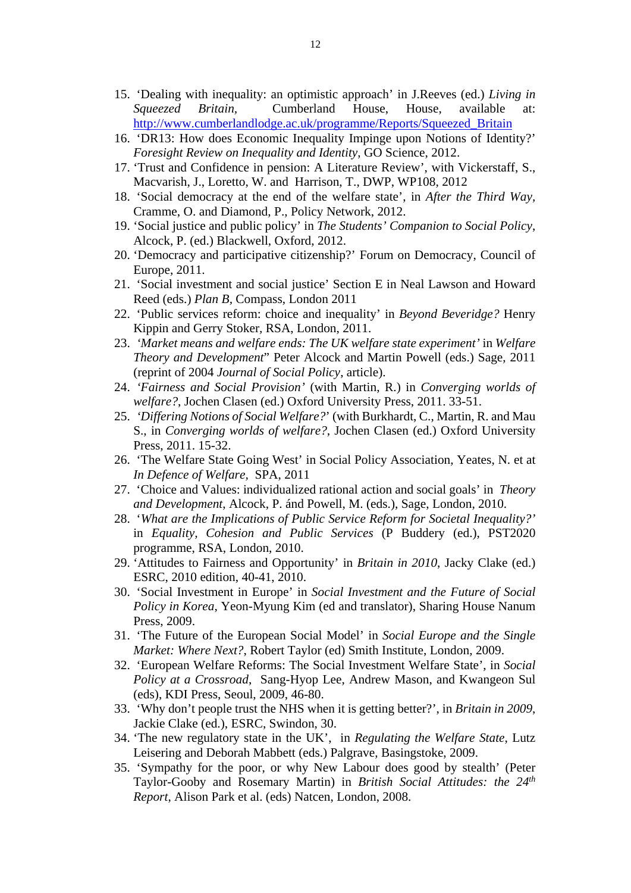- 15. 'Dealing with inequality: an optimistic approach' in J.Reeves (ed.) *Living in Squeezed Britain,* Cumberland House, House, available at: http://www.cumberlandlodge.ac.uk/programme/Reports/Squeezed\_Britain
- 16. 'DR13: How does Economic Inequality Impinge upon Notions of Identity?' *Foresight Review on Inequality and Identity*, GO Science, 2012.
- 17. 'Trust and Confidence in pension: A Literature Review', with Vickerstaff, S., Macvarish, J., Loretto, W. and Harrison, T., DWP, WP108, 2012
- 18. 'Social democracy at the end of the welfare state', in *After the Third Way,*  Cramme, O. and Diamond, P., Policy Network, 2012.
- 19. 'Social justice and public policy' in *The Students' Companion to Social Policy*, Alcock, P. (ed.) Blackwell, Oxford, 2012.
- 20. 'Democracy and participative citizenship?' Forum on Democracy, Council of Europe, 2011.
- 21. 'Social investment and social justice' Section E in Neal Lawson and Howard Reed (eds.) *Plan B,* Compass, London 2011
- 22. 'Public services reform: choice and inequality' in *Beyond Beveridge?* Henry Kippin and Gerry Stoker*,* RSA, London, 2011.
- 23. *'Market means and welfare ends: The UK welfare state experiment'* in *Welfare Theory and Development*" Peter Alcock and Martin Powell (eds.) Sage, 2011 (reprint of 2004 *Journal of Social Policy*, article).
- 24. *'Fairness and Social Provision'* (with Martin, R.) in *Converging worlds of welfare?*, Jochen Clasen (ed.) Oxford University Press, 2011. 33-51.
- 25. *'Differing Notions of Social Welfare?*' (with Burkhardt, C., Martin, R. and Mau S., in *Converging worlds of welfare?*, Jochen Clasen (ed.) Oxford University Press, 2011. 15-32.
- 26. 'The Welfare State Going West' in Social Policy Association, Yeates, N. et at *In Defence of Welfare,* SPA, 2011
- 27. 'Choice and Values: individualized rational action and social goals' in *Theory and Development*, Alcock, P. ánd Powell, M. (eds.), Sage, London, 2010.
- 28. '*What are the Implications of Public Service Reform for Societal Inequality?'* in *Equality, Cohesion and Public Services* (P Buddery (ed.), PST2020 programme, RSA, London, 2010.
- 29. 'Attitudes to Fairness and Opportunity' in *Britain in 2010*, Jacky Clake (ed.) ESRC, 2010 edition, 40-41, 2010.
- 30. 'Social Investment in Europe' in *Social Investment and the Future of Social Policy in Korea*, Yeon-Myung Kim (ed and translator), Sharing House Nanum Press, 2009.
- 31. 'The Future of the European Social Model' in *Social Europe and the Single Market: Where Next?*, Robert Taylor (ed) Smith Institute, London, 2009.
- 32. 'European Welfare Reforms: The Social Investment Welfare State', in *Social Policy at a Crossroad*, Sang-Hyop Lee, Andrew Mason, and Kwangeon Sul (eds), KDI Press, Seoul, 2009, 46-80.
- 33. 'Why don't people trust the NHS when it is getting better?', in *Britain in 2009*, Jackie Clake (ed.), ESRC, Swindon, 30.
- 34. 'The new regulatory state in the UK', in *Regulating the Welfare State*, Lutz Leisering and Deborah Mabbett (eds.) Palgrave, Basingstoke, 2009.
- 35. 'Sympathy for the poor, or why New Labour does good by stealth' (Peter Taylor-Gooby and Rosemary Martin) in *British Social Attitudes: the 24th Report*, Alison Park et al. (eds) Natcen, London, 2008.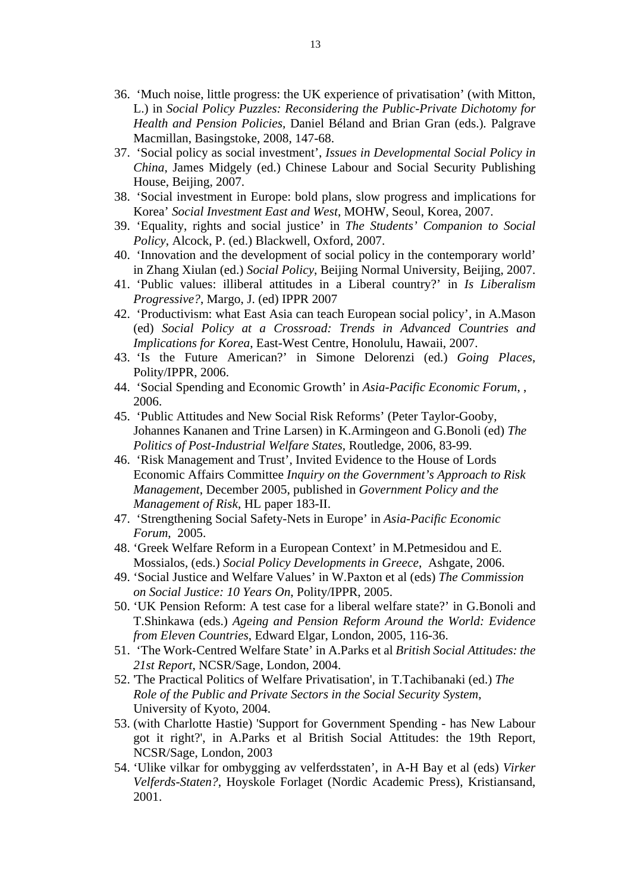- 36. 'Much noise, little progress: the UK experience of privatisation' (with Mitton, L.) in *Social Policy Puzzles: Reconsidering the Public-Private Dichotomy for Health and Pension Policies,* Daniel Béland and Brian Gran (eds.)*.* Palgrave Macmillan, Basingstoke, 2008, 147-68.
- 37. 'Social policy as social investment', *Issues in Developmental Social Policy in China*, James Midgely (ed.) Chinese Labour and Social Security Publishing House, Beijing, 2007.
- 38. 'Social investment in Europe: bold plans, slow progress and implications for Korea' *Social Investment East and West*, MOHW, Seoul, Korea, 2007.
- 39. 'Equality, rights and social justice' in *The Students' Companion to Social Policy*, Alcock, P. (ed.) Blackwell, Oxford, 2007.
- 40. 'Innovation and the development of social policy in the contemporary world' in Zhang Xiulan (ed.) *Social Policy*, Beijing Normal University, Beijing, 2007.
- 41. 'Public values: illiberal attitudes in a Liberal country?' in *Is Liberalism Progressive?*, Margo, J. (ed) IPPR 2007
- 42. 'Productivism: what East Asia can teach European social policy', in A.Mason (ed) *Social Policy at a Crossroad: Trends in Advanced Countries and Implications for Korea*, East-West Centre, Honolulu, Hawaii, 2007.
- 43. 'Is the Future American?' in Simone Delorenzi (ed.) *Going Places*, Polity/IPPR, 2006.
- 44. 'Social Spending and Economic Growth' in *Asia-Pacific Economic Forum*, , 2006.
- 45. 'Public Attitudes and New Social Risk Reforms' (Peter Taylor-Gooby, Johannes Kananen and Trine Larsen) in K.Armingeon and G.Bonoli (ed) *The Politics of Post-Industrial Welfare States*, Routledge, 2006, 83-99.
- 46. 'Risk Management and Trust', Invited Evidence to the House of Lords Economic Affairs Committee *Inquiry on the Government's Approach to Risk Management*, December 2005, published in *Government Policy and the Management of Risk*, HL paper 183-II.
- 47. 'Strengthening Social Safety-Nets in Europe' in *Asia-Pacific Economic Forum*, 2005.
- 48. 'Greek Welfare Reform in a European Context' in M.Petmesidou and E. Mossialos, (eds.) *Social Policy Developments in Greece*, Ashgate, 2006.
- 49. 'Social Justice and Welfare Values' in W.Paxton et al (eds) *The Commission on Social Justice: 10 Years On*, Polity/IPPR, 2005.
- 50. 'UK Pension Reform: A test case for a liberal welfare state?' in G.Bonoli and T.Shinkawa (eds.) *Ageing and Pension Reform Around the World: Evidence from Eleven Countries*, Edward Elgar, London, 2005, 116-36.
- 51. 'The Work-Centred Welfare State' in A.Parks et al *British Social Attitudes: the 21st Report*, NCSR/Sage, London, 2004.
- 52. 'The Practical Politics of Welfare Privatisation', in T.Tachibanaki (ed.) *The Role of the Public and Private Sectors in the Social Security System*, University of Kyoto, 2004.
- 53. (with Charlotte Hastie) 'Support for Government Spending has New Labour got it right?', in A.Parks et al British Social Attitudes: the 19th Report, NCSR/Sage, London, 2003
- 54. 'Ulike vilkar for ombygging av velferdsstaten', in A-H Bay et al (eds) *Virker Velferds-Staten?*, Hoyskole Forlaget (Nordic Academic Press), Kristiansand, 2001.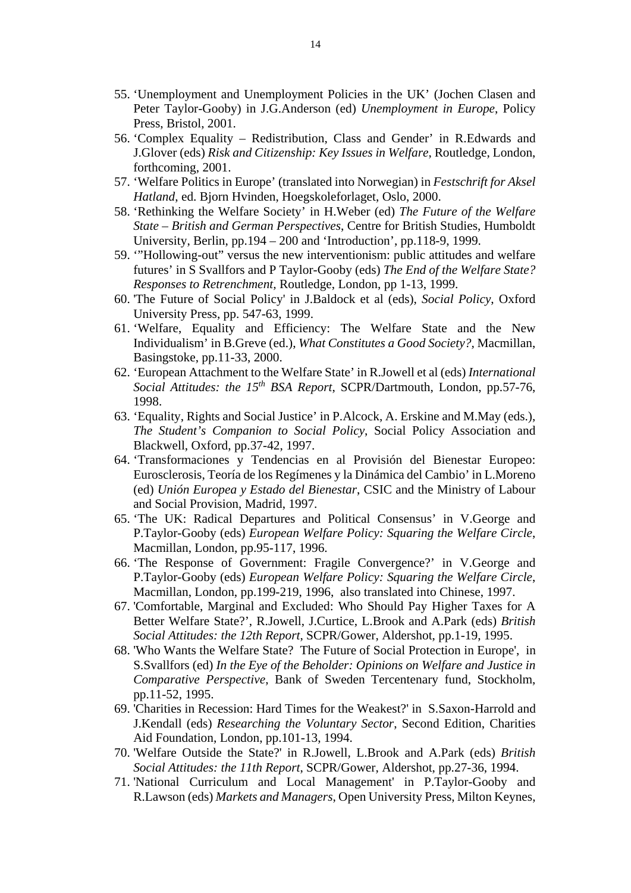- 55. 'Unemployment and Unemployment Policies in the UK' (Jochen Clasen and Peter Taylor-Gooby) in J.G.Anderson (ed) *Unemployment in Europe*, Policy Press, Bristol, 2001.
- 56. 'Complex Equality Redistribution, Class and Gender' in R.Edwards and J.Glover (eds) *Risk and Citizenship: Key Issues in Welfare*, Routledge, London, forthcoming, 2001.
- 57. 'Welfare Politics in Europe' (translated into Norwegian) in *Festschrift for Aksel Hatland*, ed. Bjorn Hvinden, Hoegskoleforlaget, Oslo, 2000.
- 58. 'Rethinking the Welfare Society' in H.Weber (ed) *The Future of the Welfare State – British and German Perspectives*, Centre for British Studies, Humboldt University, Berlin, pp.194 – 200 and 'Introduction', pp.118-9, 1999.
- 59. '"Hollowing-out" versus the new interventionism: public attitudes and welfare futures' in S Svallfors and P Taylor-Gooby (eds) *The End of the Welfare State? Responses to Retrenchment,* Routledge, London, pp 1-13, 1999.
- 60. 'The Future of Social Policy' in J.Baldock et al (eds), *Social Policy*, Oxford University Press, pp. 547-63, 1999.
- 61. 'Welfare, Equality and Efficiency: The Welfare State and the New Individualism' in B.Greve (ed.), *What Constitutes a Good Society?,* Macmillan, Basingstoke, pp.11-33, 2000.
- 62. 'European Attachment to the Welfare State' in R.Jowell et al (eds) *International Social Attitudes: the 15th BSA Report*, SCPR/Dartmouth, London, pp.57-76, 1998.
- 63. 'Equality, Rights and Social Justice' in P.Alcock, A. Erskine and M.May (eds.), *The Student's Companion to Social Policy*, Social Policy Association and Blackwell, Oxford, pp.37-42, 1997.
- 64. 'Transformaciones y Tendencias en al Provisión del Bienestar Europeo: Eurosclerosis, Teoría de los Regímenes y la Dinámica del Cambio' in L.Moreno (ed) *Unión Europea y Estado del Bienestar*, CSIC and the Ministry of Labour and Social Provision, Madrid, 1997.
- 65. 'The UK: Radical Departures and Political Consensus' in V.George and P.Taylor-Gooby (eds) *European Welfare Policy: Squaring the Welfare Circle*, Macmillan, London, pp.95-117, 1996.
- 66. 'The Response of Government: Fragile Convergence?' in V.George and P.Taylor-Gooby (eds) *European Welfare Policy: Squaring the Welfare Circle*, Macmillan, London, pp.199-219, 1996, also translated into Chinese, 1997.
- 67. 'Comfortable, Marginal and Excluded: Who Should Pay Higher Taxes for A Better Welfare State?', R.Jowell, J.Curtice, L.Brook and A.Park (eds) *British Social Attitudes: the 12th Report*, SCPR/Gower, Aldershot, pp.1-19, 1995.
- 68. 'Who Wants the Welfare State? The Future of Social Protection in Europe', in S.Svallfors (ed) *In the Eye of the Beholder: Opinions on Welfare and Justice in Comparative Perspective*, Bank of Sweden Tercentenary fund, Stockholm, pp.11-52, 1995.
- 69. 'Charities in Recession: Hard Times for the Weakest?' in S.Saxon-Harrold and J.Kendall (eds) *Researching the Voluntary Sector*, Second Edition, Charities Aid Foundation, London, pp.101-13, 1994.
- 70. 'Welfare Outside the State?' in R.Jowell, L.Brook and A.Park (eds) *British Social Attitudes: the 11th Report*, SCPR/Gower, Aldershot, pp.27-36, 1994.
- 71. 'National Curriculum and Local Management' in P.Taylor-Gooby and R.Lawson (eds) *Markets and Managers*, Open University Press, Milton Keynes,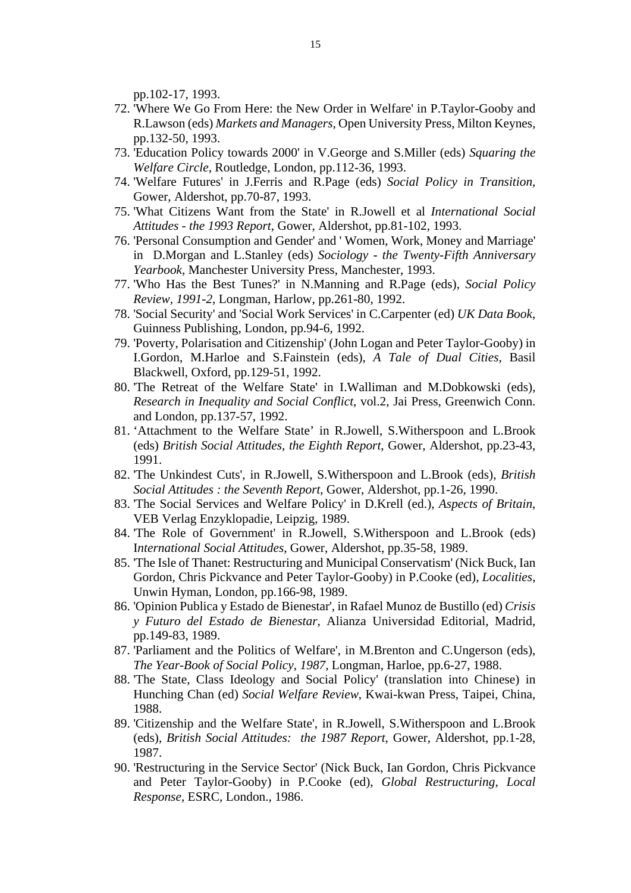pp.102-17, 1993.

- 72. 'Where We Go From Here: the New Order in Welfare' in P.Taylor-Gooby and R.Lawson (eds) *Markets and Managers*, Open University Press, Milton Keynes, pp.132-50, 1993.
- 73. 'Education Policy towards 2000' in V.George and S.Miller (eds) *Squaring the Welfare Circle*, Routledge, London, pp.112-36, 1993.
- 74. 'Welfare Futures' in J.Ferris and R.Page (eds) *Social Policy in Transition*, Gower, Aldershot, pp.70-87, 1993.
- 75. 'What Citizens Want from the State' in R.Jowell et al *International Social Attitudes - the 1993 Report*, Gower, Aldershot, pp.81-102, 1993.
- 76. 'Personal Consumption and Gender' and ' Women, Work, Money and Marriage' in D.Morgan and L.Stanley (eds) *Sociology - the Twenty-Fifth Anniversary Yearbook*, Manchester University Press, Manchester, 1993.
- 77. 'Who Has the Best Tunes?' in N.Manning and R.Page (eds), *Social Policy Review, 1991-2*, Longman, Harlow, pp.261-80, 1992.
- 78. 'Social Security' and 'Social Work Services' in C.Carpenter (ed) *UK Data Book*, Guinness Publishing, London, pp.94-6, 1992.
- 79. 'Poverty, Polarisation and Citizenship' (John Logan and Peter Taylor-Gooby) in I.Gordon, M.Harloe and S.Fainstein (eds), *A Tale of Dual Cities*, Basil Blackwell, Oxford, pp.129-51, 1992.
- 80. 'The Retreat of the Welfare State' in I.Walliman and M.Dobkowski (eds), *Research in Inequality and Social Conflict*, vol.2, Jai Press, Greenwich Conn. and London, pp.137-57, 1992.
- 81. 'Attachment to the Welfare State' in R.Jowell, S.Witherspoon and L.Brook (eds) *British Social Attitudes, the Eighth Report*, Gower, Aldershot, pp.23-43, 1991.
- 82. 'The Unkindest Cuts', in R.Jowell, S.Witherspoon and L.Brook (eds), *British Social Attitudes : the Seventh Report*, Gower, Aldershot, pp.1-26, 1990.
- 83. 'The Social Services and Welfare Policy' in D.Krell (ed.), *Aspects of Britain*, VEB Verlag Enzyklopadie, Leipzig, 1989.
- 84. 'The Role of Government' in R.Jowell, S.Witherspoon and L.Brook (eds) I*nternational Social Attitudes*, Gower, Aldershot, pp.35-58, 1989.
- 85. 'The Isle of Thanet: Restructuring and Municipal Conservatism' (Nick Buck, Ian Gordon, Chris Pickvance and Peter Taylor-Gooby) in P.Cooke (ed), *Localities*, Unwin Hyman, London, pp.166-98, 1989.
- 86. 'Opinion Publica y Estado de Bienestar', in Rafael Munoz de Bustillo (ed) *Crisis y Futuro del Estado de Bienestar*, Alianza Universidad Editorial, Madrid, pp.149-83, 1989.
- 87. 'Parliament and the Politics of Welfare', in M.Brenton and C.Ungerson (eds), *The Year-Book of Social Policy, 1987*, Longman, Harloe, pp.6-27, 1988.
- 88. 'The State, Class Ideology and Social Policy' (translation into Chinese) in Hunching Chan (ed) *Social Welfare Review*, Kwai-kwan Press, Taipei, China, 1988.
- 89. 'Citizenship and the Welfare State', in R.Jowell, S.Witherspoon and L.Brook (eds), *British Social Attitudes: the 1987 Report*, Gower, Aldershot, pp.1-28, 1987.
- 90. 'Restructuring in the Service Sector' (Nick Buck, Ian Gordon, Chris Pickvance and Peter Taylor-Gooby) in P.Cooke (ed), *Global Restructuring, Local Response*, ESRC, London., 1986.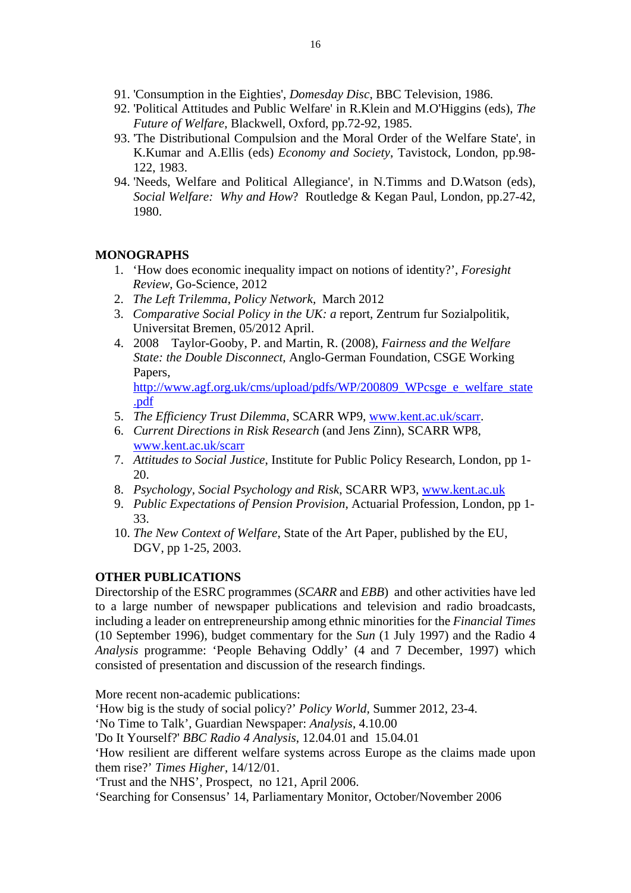- 91. 'Consumption in the Eighties', *Domesday Disc*, BBC Television, 1986.
- 92. 'Political Attitudes and Public Welfare' in R.Klein and M.O'Higgins (eds), *The Future of Welfare*, Blackwell, Oxford, pp.72-92, 1985.
- 93. 'The Distributional Compulsion and the Moral Order of the Welfare State', in K.Kumar and A.Ellis (eds) *Economy and Society*, Tavistock, London, pp.98- 122, 1983.
- 94. 'Needs, Welfare and Political Allegiance', in N.Timms and D.Watson (eds), *Social Welfare: Why and How*? Routledge & Kegan Paul, London, pp.27-42, 1980.

# **MONOGRAPHS**

- 1. 'How does economic inequality impact on notions of identity?', *Foresight Review*, Go-Science, 2012
- 2. *The Left Trilemma*, *Policy Network,* March 2012
- 3. *Comparative Social Policy in the UK: a* report, Zentrum fur Sozialpolitik, Universitat Bremen, 05/2012 April.
- 4. 2008 Taylor-Gooby, P. and Martin, R. (2008), *Fairness and the Welfare State: the Double Disconnect,* Anglo-German Foundation, CSGE Working Papers,

http://www.agf.org.uk/cms/upload/pdfs/WP/200809\_WPcsge\_e\_welfare\_state .pdf

- 5. *The Efficiency Trust Dilemma*, SCARR WP9, www.kent.ac.uk/scarr.
- 6. *Current Directions in Risk Research* (and Jens Zinn), SCARR WP8, www.kent.ac.uk/scarr
- 7. *Attitudes to Social Justice*, Institute for Public Policy Research, London, pp 1- 20.
- 8. *Psychology, Social Psychology and Risk*, SCARR WP3, www.kent.ac.uk
- 9. *Public Expectations of Pension Provision*, Actuarial Profession, London, pp 1- 33.
- 10. *The New Context of Welfare*, State of the Art Paper, published by the EU, DGV, pp 1-25, 2003.

# **OTHER PUBLICATIONS**

Directorship of the ESRC programmes (*SCARR* and *EBB*) and other activities have led to a large number of newspaper publications and television and radio broadcasts, including a leader on entrepreneurship among ethnic minorities for the *Financial Times* (10 September 1996), budget commentary for the *Sun* (1 July 1997) and the Radio 4 *Analysis* programme: 'People Behaving Oddly' (4 and 7 December, 1997) which consisted of presentation and discussion of the research findings.

More recent non-academic publications:

'How big is the study of social policy?' *Policy World,* Summer 2012, 23-4.

'No Time to Talk', Guardian Newspaper: *Analysis*, 4.10.00

'Do It Yourself?' *BBC Radio 4 Analysis*, 12.04.01 and 15.04.01

'How resilient are different welfare systems across Europe as the claims made upon them rise?' *Times Higher*, 14/12/01.

'Trust and the NHS', Prospect, no 121, April 2006.

'Searching for Consensus' 14, Parliamentary Monitor, October/November 2006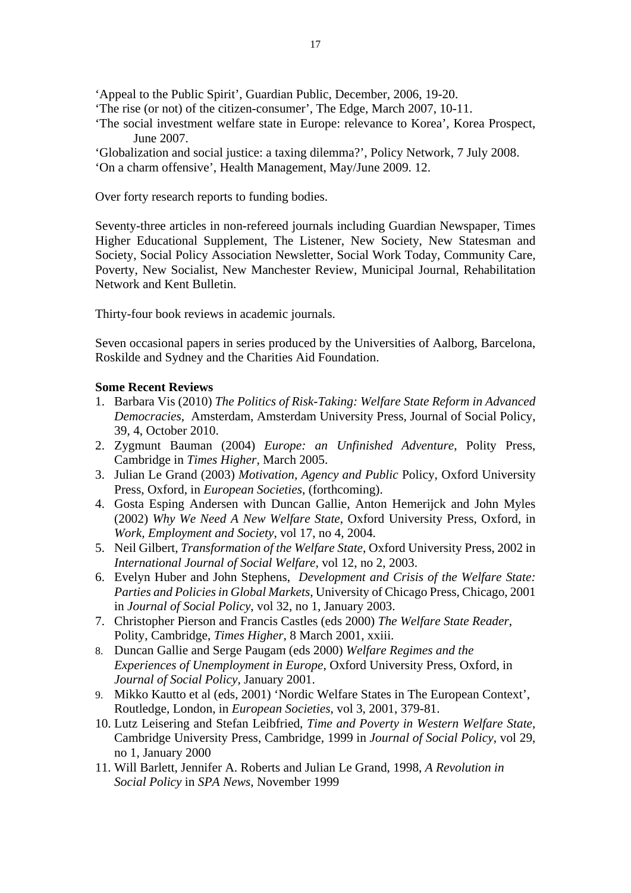'Appeal to the Public Spirit', Guardian Public, December, 2006, 19-20.

- 'The rise (or not) of the citizen-consumer', The Edge, March 2007, 10-11.
- 'The social investment welfare state in Europe: relevance to Korea', Korea Prospect, June 2007.
- 'Globalization and social justice: a taxing dilemma?', Policy Network, 7 July 2008. 'On a charm offensive', Health Management, May/June 2009. 12.

Over forty research reports to funding bodies.

Seventy-three articles in non-refereed journals including Guardian Newspaper, Times Higher Educational Supplement, The Listener, New Society, New Statesman and Society, Social Policy Association Newsletter, Social Work Today, Community Care, Poverty, New Socialist, New Manchester Review, Municipal Journal, Rehabilitation Network and Kent Bulletin.

Thirty-four book reviews in academic journals.

Seven occasional papers in series produced by the Universities of Aalborg, Barcelona, Roskilde and Sydney and the Charities Aid Foundation.

# **Some Recent Reviews**

- 1. Barbara Vis (2010) *The Politics of Risk-Taking: Welfare State Reform in Advanced Democracies*, Amsterdam, Amsterdam University Press*,* Journal of Social Policy, 39, 4, October 2010.
- 2. Zygmunt Bauman (2004) *Europe: an Unfinished Adventure*, Polity Press, Cambridge in *Times Higher,* March 2005.
- 3. Julian Le Grand (2003) *Motivation, Agency and Public* Policy, Oxford University Press, Oxford, in *European Societies*, (forthcoming).
- 4. Gosta Esping Andersen with Duncan Gallie, Anton Hemerijck and John Myles (2002) *Why We Need A New Welfare State*, Oxford University Press, Oxford, in *Work, Employment and Society*, vol 17, no 4, 2004.
- 5. Neil Gilbert, *Transformation of the Welfare State*, Oxford University Press, 2002 in *International Journal of Social Welfare,* vol 12, no 2, 2003.
- 6. Evelyn Huber and John Stephens, *Development and Crisis of the Welfare State: Parties and Policies in Global Markets*, University of Chicago Press, Chicago, 2001 in *Journal of Social Policy*, vol 32, no 1, January 2003.
- 7. Christopher Pierson and Francis Castles (eds 2000) *The Welfare State Reader*, Polity, Cambridge, *Times Higher*, 8 March 2001, xxiii.
- 8. Duncan Gallie and Serge Paugam (eds 2000) *Welfare Regimes and the Experiences of Unemployment in Europe*, Oxford University Press, Oxford, in *Journal of Social Policy*, January 2001.
- 9. Mikko Kautto et al (eds, 2001) 'Nordic Welfare States in The European Context', Routledge, London, in *European Societies*, vol 3, 2001, 379-81.
- 10. Lutz Leisering and Stefan Leibfried, *Time and Poverty in Western Welfare State,*  Cambridge University Press, Cambridge, 1999 in *Journal of Social Policy*, vol 29, no 1, January 2000
- 11. Will Barlett, Jennifer A. Roberts and Julian Le Grand, 1998, *A Revolution in Social Policy* in *SPA News*, November 1999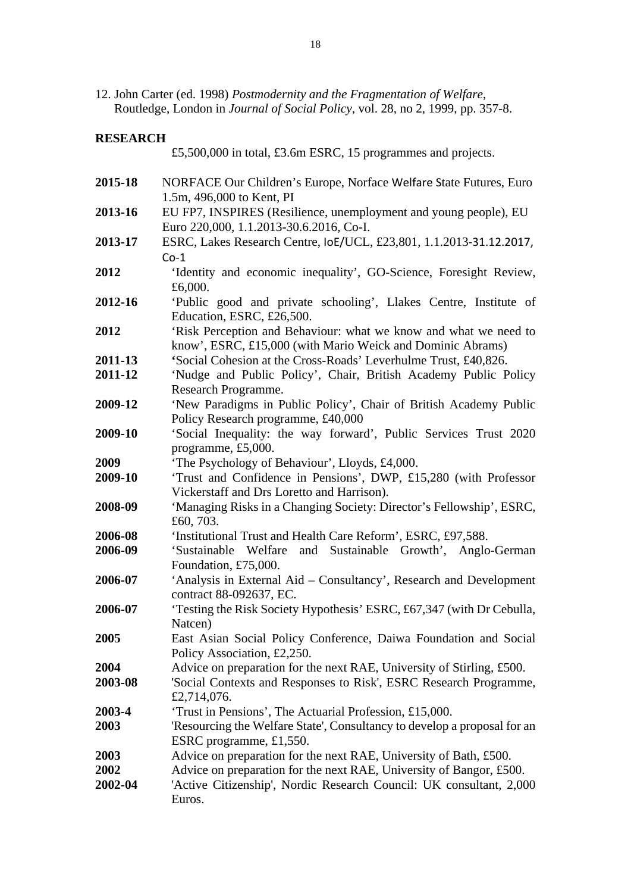12. John Carter (ed. 1998) *Postmodernity and the Fragmentation of Welfare*, Routledge, London in *Journal of Social Policy*, vol. 28, no 2, 1999, pp. 357-8.

#### **RESEARCH**

£5,500,000 in total, £3.6m ESRC, 15 programmes and projects. **2015-18** NORFACE Our Children's Europe, Norface Welfare State Futures, Euro 1.5m, 496,000 to Kent, PI **2013-16** EU FP7, INSPIRES (Resilience, unemployment and young people), EU Euro 220,000, 1.1.2013-30.6.2016, Co-I. **2013-17** ESRC, Lakes Research Centre, IoE/UCL, £23,801, 1.1.2013‐31.12.2017,  $Co-1$ **2012** 'Identity and economic inequality', GO-Science, Foresight Review, £6,000. **2012-16** 'Public good and private schooling', Llakes Centre, Institute of Education, ESRC, £26,500. **2012** 'Risk Perception and Behaviour: what we know and what we need to know', ESRC, £15,000 (with Mario Weick and Dominic Abrams) **2011-13 '**Social Cohesion at the Cross-Roads' Leverhulme Trust, £40,826. **2011-12** 'Nudge and Public Policy', Chair, British Academy Public Policy Research Programme. **2009-12** 'New Paradigms in Public Policy', Chair of British Academy Public Policy Research programme, £40,000 **2009-10** 'Social Inequality: the way forward', Public Services Trust 2020 programme, £5,000. **2009** 'The Psychology of Behaviour', Lloyds, £4,000. **2009-10** 'Trust and Confidence in Pensions', DWP, £15,280 (with Professor Vickerstaff and Drs Loretto and Harrison). **2008-09** 'Managing Risks in a Changing Society: Director's Fellowship', ESRC, £60, 703. **2006-08** 'Institutional Trust and Health Care Reform', ESRC, £97,588. **2006-09** 'Sustainable Welfare and Sustainable Growth', Anglo-German Foundation, £75,000. **2006-07** 'Analysis in External Aid – Consultancy', Research and Development contract 88-092637, EC. **2006-07** 'Testing the Risk Society Hypothesis' ESRC, £67,347 (with Dr Cebulla, Natcen) **2005** East Asian Social Policy Conference, Daiwa Foundation and Social Policy Association, £2,250. **2004** • Advice on preparation for the next RAE, University of Stirling, £500. **2003-08** 'Social Contexts and Responses to Risk', ESRC Research Programme, £2,714,076. **2003-4** 'Trust in Pensions', The Actuarial Profession, £15,000. **2003** 'Resourcing the Welfare State', Consultancy to develop a proposal for an ESRC programme, £1,550. **2003** Advice on preparation for the next RAE, University of Bath, £500. **2002** Advice on preparation for the next RAE, University of Bangor, £500. **2002-04** 'Active Citizenship', Nordic Research Council: UK consultant, 2,000 Euros.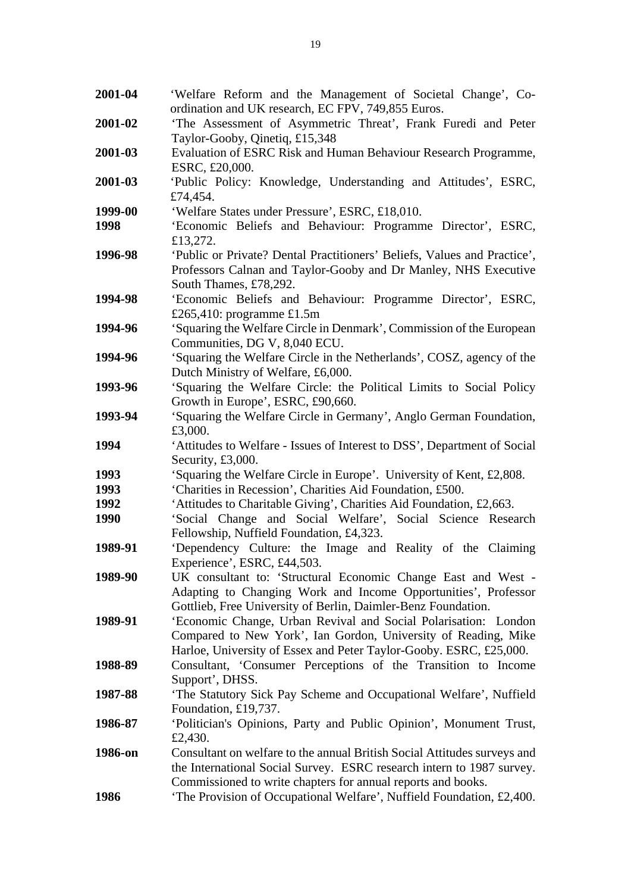**2001-04** 'Welfare Reform and the Management of Societal Change', Coordination and UK research, EC FPV, 749,855 Euros. **2001-02** 'The Assessment of Asymmetric Threat', Frank Furedi and Peter Taylor-Gooby, Qinetiq, £15,348 **2001-03** Evaluation of ESRC Risk and Human Behaviour Research Programme, ESRC, £20,000. **2001-03** 'Public Policy: Knowledge, Understanding and Attitudes', ESRC, £74,454. **1999-00** 'Welfare States under Pressure', ESRC, £18,010. **1998** 'Economic Beliefs and Behaviour: Programme Director', ESRC, £13,272. **1996-98** 'Public or Private? Dental Practitioners' Beliefs, Values and Practice', Professors Calnan and Taylor-Gooby and Dr Manley, NHS Executive South Thames, £78,292. **1994-98** 'Economic Beliefs and Behaviour: Programme Director', ESRC, £265,410: programme £1.5m **1994-96** 'Squaring the Welfare Circle in Denmark', Commission of the European Communities, DG V, 8,040 ECU. **1994-96** 'Squaring the Welfare Circle in the Netherlands', COSZ, agency of the Dutch Ministry of Welfare, £6,000. **1993-96** 'Squaring the Welfare Circle: the Political Limits to Social Policy Growth in Europe', ESRC, £90,660. **1993-94** 'Squaring the Welfare Circle in Germany', Anglo German Foundation, £3,000. **1994** 'Attitudes to Welfare - Issues of Interest to DSS', Department of Social Security, £3,000. **1993** 'Squaring the Welfare Circle in Europe'. University of Kent, £2,808. **1993** 'Charities in Recession', Charities Aid Foundation, £500. **1992** 'Attitudes to Charitable Giving', Charities Aid Foundation, £2,663. **1990** 'Social Change and Social Welfare', Social Science Research Fellowship, Nuffield Foundation, £4,323. **1989-91** 'Dependency Culture: the Image and Reality of the Claiming Experience', ESRC, £44,503. **1989-90** UK consultant to: 'Structural Economic Change East and West - Adapting to Changing Work and Income Opportunities', Professor Gottlieb, Free University of Berlin, Daimler-Benz Foundation. **1989-91** 'Economic Change, Urban Revival and Social Polarisation: London Compared to New York', Ian Gordon, University of Reading, Mike Harloe, University of Essex and Peter Taylor-Gooby. ESRC, £25,000. **1988-89** Consultant, 'Consumer Perceptions of the Transition to Income Support', DHSS. **1987-88** 'The Statutory Sick Pay Scheme and Occupational Welfare', Nuffield Foundation, £19,737. **1986-87** 'Politician's Opinions, Party and Public Opinion', Monument Trust, £2,430. **1986-on** Consultant on welfare to the annual British Social Attitudes surveys and the International Social Survey. ESRC research intern to 1987 survey. Commissioned to write chapters for annual reports and books. **1986** 'The Provision of Occupational Welfare', Nuffield Foundation, £2,400.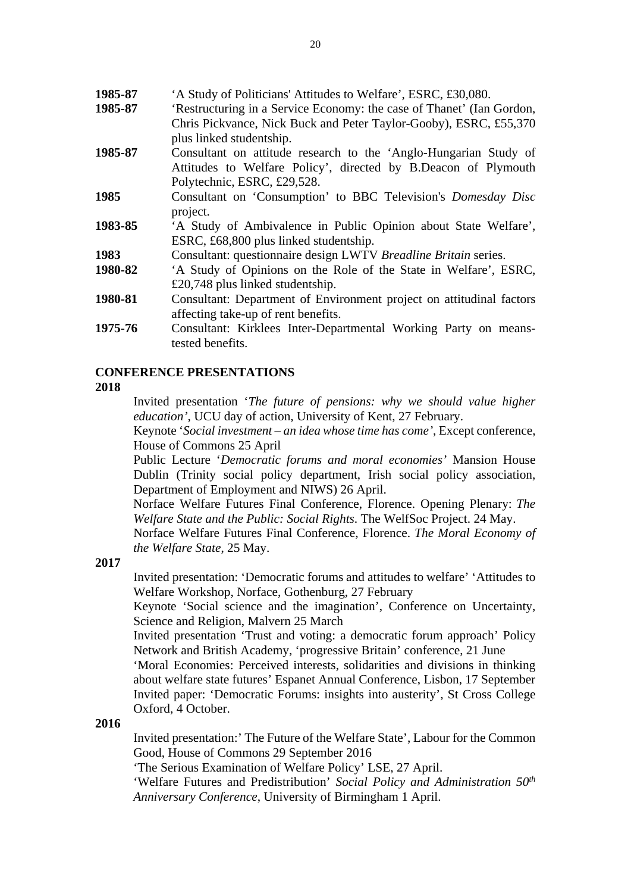- **1985-87** 'A Study of Politicians' Attitudes to Welfare', ESRC, £30,080.
- **1985-87** 'Restructuring in a Service Economy: the case of Thanet' (Ian Gordon, Chris Pickvance, Nick Buck and Peter Taylor-Gooby), ESRC, £55,370 plus linked studentship.
- **1985-87** Consultant on attitude research to the 'Anglo-Hungarian Study of Attitudes to Welfare Policy', directed by B.Deacon of Plymouth Polytechnic, ESRC, £29,528.
- **1985** Consultant on 'Consumption' to BBC Television's *Domesday Disc* project.
- **1983-85** 'A Study of Ambivalence in Public Opinion about State Welfare', ESRC, £68,800 plus linked studentship.
- **1983** Consultant: questionnaire design LWTV *Breadline Britain* series.
- **1980-82** 'A Study of Opinions on the Role of the State in Welfare', ESRC, £20,748 plus linked studentship.
- **1980-81** Consultant: Department of Environment project on attitudinal factors affecting take-up of rent benefits.
- **1975-76** Consultant: Kirklees Inter-Departmental Working Party on meanstested benefits.

# **CONFERENCE PRESENTATIONS**

## **2018**

Invited presentation '*The future of pensions: why we should value higher education'*, UCU day of action, University of Kent, 27 February.

Keynote '*Social investment – an idea whose time has come'*, Except conference, House of Commons 25 April

 Public Lecture '*Democratic forums and moral economies'* Mansion House Dublin (Trinity social policy department, Irish social policy association, Department of Employment and NIWS) 26 April.

 Norface Welfare Futures Final Conference, Florence. Opening Plenary: *The Welfare State and the Public: Social Rights*. The WelfSoc Project. 24 May.

Norface Welfare Futures Final Conference, Florence. *The Moral Economy of the Welfare State*, 25 May.

# **2017**

Invited presentation: 'Democratic forums and attitudes to welfare' 'Attitudes to Welfare Workshop, Norface, Gothenburg, 27 February

Keynote 'Social science and the imagination', Conference on Uncertainty, Science and Religion, Malvern 25 March

 Invited presentation 'Trust and voting: a democratic forum approach' Policy Network and British Academy, 'progressive Britain' conference, 21 June

 'Moral Economies: Perceived interests, solidarities and divisions in thinking about welfare state futures' Espanet Annual Conference, Lisbon, 17 September Invited paper: 'Democratic Forums: insights into austerity', St Cross College Oxford, 4 October.

# **2016**

Invited presentation:' The Future of the Welfare State', Labour for the Common Good, House of Commons 29 September 2016

'The Serious Examination of Welfare Policy' LSE, 27 April.

'Welfare Futures and Predistribution' *Social Policy and Administration 50th Anniversary Conference*, University of Birmingham 1 April.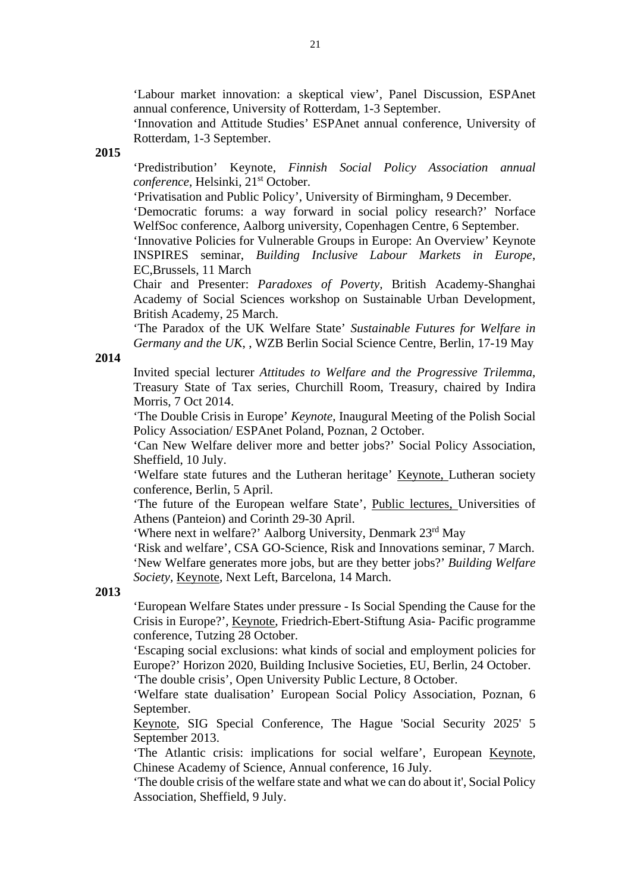'Labour market innovation: a skeptical view', Panel Discussion, ESPAnet annual conference, University of Rotterdam, 1-3 September.

'Innovation and Attitude Studies' ESPAnet annual conference, University of Rotterdam, 1-3 September.

#### **2015**

'Predistribution' Keynote, *Finnish Social Policy Association annual conference*, Helsinki, 21<sup>st</sup> October.

'Privatisation and Public Policy', University of Birmingham, 9 December.

'Democratic forums: a way forward in social policy research?' Norface WelfSoc conference, Aalborg university, Copenhagen Centre, 6 September.

'Innovative Policies for Vulnerable Groups in Europe: An Overview' Keynote INSPIRES seminar, *Building Inclusive Labour Markets in Europe*, EC,Brussels, 11 March

Chair and Presenter: *Paradoxes of Poverty,* British Academy-Shanghai Academy of Social Sciences workshop on Sustainable Urban Development, British Academy, 25 March.

'The Paradox of the UK Welfare State' *Sustainable Futures for Welfare in Germany and the UK*, , WZB Berlin Social Science Centre, Berlin, 17-19 May

## **2014**

Invited special lecturer *Attitudes to Welfare and the Progressive Trilemma*, Treasury State of Tax series, Churchill Room, Treasury, chaired by Indira Morris, 7 Oct 2014.

'The Double Crisis in Europe' *Keynote*, Inaugural Meeting of the Polish Social Policy Association/ ESPAnet Poland, Poznan, 2 October.

'Can New Welfare deliver more and better jobs?' Social Policy Association, Sheffield, 10 July.

'Welfare state futures and the Lutheran heritage' Keynote, Lutheran society conference, Berlin, 5 April.

'The future of the European welfare State', Public lectures, Universities of Athens (Panteion) and Corinth 29-30 April.

'Where next in welfare?' Aalborg University, Denmark 23rd May

'Risk and welfare', CSA GO-Science, Risk and Innovations seminar, 7 March. 'New Welfare generates more jobs, but are they better jobs?' *Building Welfare Society,* Keynote, Next Left, Barcelona, 14 March.

## **2013**

'European Welfare States under pressure - Is Social Spending the Cause for the Crisis in Europe?', Keynote, Friedrich-Ebert-Stiftung Asia- Pacific programme conference, Tutzing 28 October.

'Escaping social exclusions: what kinds of social and employment policies for Europe?' Horizon 2020, Building Inclusive Societies, EU, Berlin, 24 October. 'The double crisis', Open University Public Lecture, 8 October.

'Welfare state dualisation' European Social Policy Association, Poznan, 6 September.

Keynote, SIG Special Conference, The Hague 'Social Security 2025' 5 September 2013.

'The Atlantic crisis: implications for social welfare', European Keynote, Chinese Academy of Science, Annual conference, 16 July.

'The double crisis of the welfare state and what we can do about it', Social Policy Association, Sheffield, 9 July.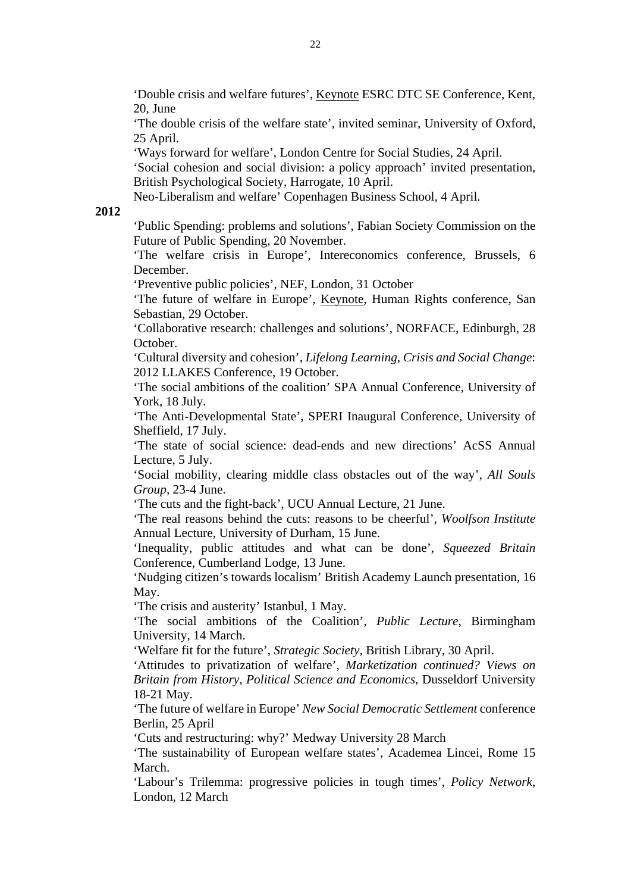'Double crisis and welfare futures', Keynote ESRC DTC SE Conference, Kent, 20, June

'The double crisis of the welfare state', invited seminar, University of Oxford, 25 April.

'Ways forward for welfare', London Centre for Social Studies, 24 April.

'Social cohesion and social division: a policy approach' invited presentation, British Psychological Society, Harrogate, 10 April.

Neo-Liberalism and welfare' Copenhagen Business School, 4 April.

#### **2012**

'Public Spending: problems and solutions', Fabian Society Commission on the Future of Public Spending, 20 November.

'The welfare crisis in Europe', Intereconomics conference, Brussels, 6 December.

'Preventive public policies', NEF, London, 31 October

'The future of welfare in Europe', Keynote, Human Rights conference, San Sebastian, 29 October.

'Collaborative research: challenges and solutions', NORFACE, Edinburgh, 28 October.

'Cultural diversity and cohesion', *Lifelong Learning, Crisis and Social Change*: 2012 LLAKES Conference, 19 October.

'The social ambitions of the coalition' SPA Annual Conference, University of York, 18 July.

'The Anti-Developmental State', SPERI Inaugural Conference, University of Sheffield, 17 July.

'The state of social science: dead-ends and new directions' AcSS Annual Lecture, 5 July.

'Social mobility, clearing middle class obstacles out of the way', *All Souls Group,* 23-4 June.

'The cuts and the fight-back', UCU Annual Lecture, 21 June.

'The real reasons behind the cuts: reasons to be cheerful', *Woolfson Institute*  Annual Lecture, University of Durham, 15 June.

'Inequality, public attitudes and what can be done', *Squeezed Britain*  Conference, Cumberland Lodge, 13 June.

'Nudging citizen's towards localism' British Academy Launch presentation, 16 May.

'The crisis and austerity' Istanbul, 1 May.

'The social ambitions of the Coalition', *Public Lecture*, Birmingham University, 14 March.

'Welfare fit for the future', *Strategic Society,* British Library, 30 April.

'Attitudes to privatization of welfare', *Marketization continued? Views on Britain from History, Political Science and Economics*, Dusseldorf University 18-21 May.

'The future of welfare in Europe' *New Social Democratic Settlement* conference Berlin, 25 April

'Cuts and restructuring: why?' Medway University 28 March

'The sustainability of European welfare states', Academea Lincei, Rome 15 March.

'Labour's Trilemma: progressive policies in tough times', *Policy Network*, London, 12 March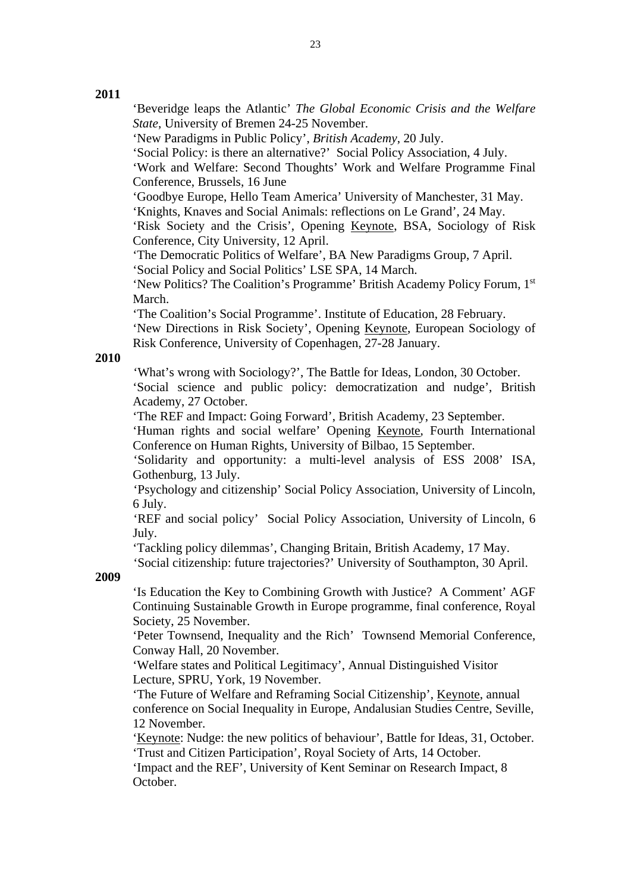## **2011**

'Beveridge leaps the Atlantic' *The Global Economic Crisis and the Welfare State*, University of Bremen 24-25 November.

'New Paradigms in Public Policy', *British Academy*, 20 July.

'Social Policy: is there an alternative?' Social Policy Association, 4 July.

 'Work and Welfare: Second Thoughts' Work and Welfare Programme Final Conference, Brussels, 16 June

'Goodbye Europe, Hello Team America' University of Manchester, 31 May.

 'Knights, Knaves and Social Animals: reflections on Le Grand', 24 May. 'Risk Society and the Crisis', Opening Keynote, BSA, Sociology of Risk

Conference, City University, 12 April.

 'The Democratic Politics of Welfare', BA New Paradigms Group, 7 April. 'Social Policy and Social Politics' LSE SPA, 14 March.

 'New Politics? The Coalition's Programme' British Academy Policy Forum, 1st March.

 'The Coalition's Social Programme'. Institute of Education, 28 February. 'New Directions in Risk Society', Opening Keynote, European Sociology of Risk Conference, University of Copenhagen, 27-28 January.

#### **2010**

 'What's wrong with Sociology?', The Battle for Ideas, London, 30 October. 'Social science and public policy: democratization and nudge', British Academy, 27 October.

'The REF and Impact: Going Forward', British Academy, 23 September.

'Human rights and social welfare' Opening Keynote, Fourth International Conference on Human Rights, University of Bilbao, 15 September.

 'Solidarity and opportunity: a multi-level analysis of ESS 2008' ISA, Gothenburg, 13 July.

 'Psychology and citizenship' Social Policy Association, University of Lincoln, 6 July.

 'REF and social policy' Social Policy Association, University of Lincoln, 6 July.

'Tackling policy dilemmas', Changing Britain, British Academy, 17 May.

'Social citizenship: future trajectories?' University of Southampton, 30 April.

**2009**  'Is Education the Key to Combining Growth with Justice? A Comment' AGF Continuing Sustainable Growth in Europe programme, final conference, Royal Society, 25 November.

'Peter Townsend, Inequality and the Rich' Townsend Memorial Conference, Conway Hall, 20 November.

'Welfare states and Political Legitimacy', Annual Distinguished Visitor Lecture, SPRU, York, 19 November.

'The Future of Welfare and Reframing Social Citizenship', Keynote, annual conference on Social Inequality in Europe, Andalusian Studies Centre, Seville, 12 November.

'Keynote: Nudge: the new politics of behaviour', Battle for Ideas, 31, October. 'Trust and Citizen Participation', Royal Society of Arts, 14 October.

'Impact and the REF', University of Kent Seminar on Research Impact, 8 October.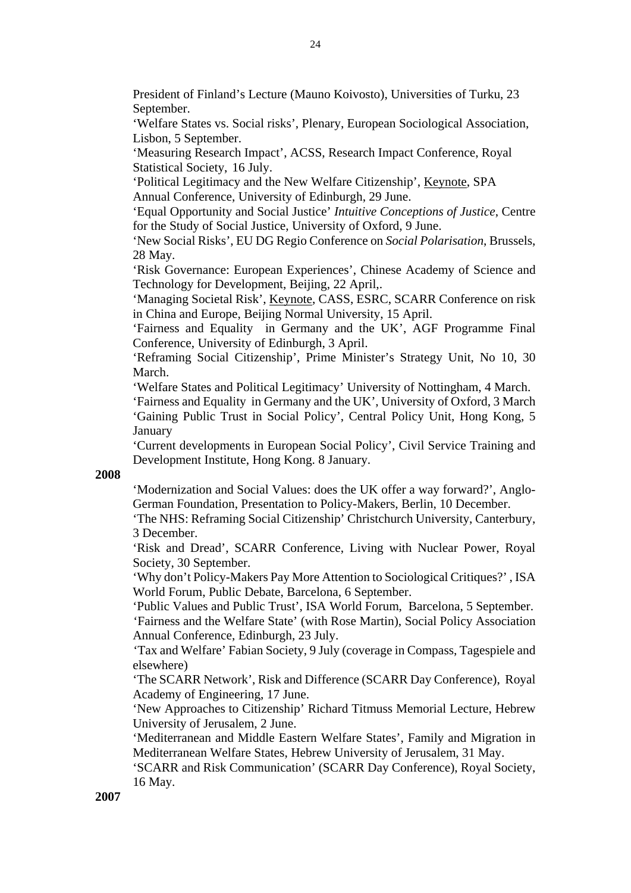President of Finland's Lecture (Mauno Koivosto), Universities of Turku, 23 September.

'Welfare States vs. Social risks', Plenary, European Sociological Association, Lisbon, 5 September.

'Measuring Research Impact', ACSS, Research Impact Conference, Royal Statistical Society, 16 July.

'Political Legitimacy and the New Welfare Citizenship', Keynote, SPA Annual Conference, University of Edinburgh, 29 June.

'Equal Opportunity and Social Justice' *Intuitive Conceptions of Justice*, Centre for the Study of Social Justice, University of Oxford, 9 June.

'New Social Risks', EU DG Regio Conference on *Social Polarisation*, Brussels, 28 May.

'Risk Governance: European Experiences', Chinese Academy of Science and Technology for Development, Beijing, 22 April,.

'Managing Societal Risk', Keynote, CASS, ESRC, SCARR Conference on risk in China and Europe, Beijing Normal University, 15 April.

'Fairness and Equality in Germany and the UK', AGF Programme Final Conference, University of Edinburgh, 3 April.

'Reframing Social Citizenship', Prime Minister's Strategy Unit, No 10, 30 March.

'Welfare States and Political Legitimacy' University of Nottingham, 4 March.

'Fairness and Equality in Germany and the UK', University of Oxford, 3 March 'Gaining Public Trust in Social Policy', Central Policy Unit, Hong Kong, 5 **January** 

'Current developments in European Social Policy', Civil Service Training and Development Institute, Hong Kong. 8 January.

# **2008**

'Modernization and Social Values: does the UK offer a way forward?', Anglo-German Foundation, Presentation to Policy-Makers, Berlin, 10 December.

'The NHS: Reframing Social Citizenship' Christchurch University, Canterbury, 3 December.

'Risk and Dread', SCARR Conference, Living with Nuclear Power, Royal Society, 30 September.

'Why don't Policy-Makers Pay More Attention to Sociological Critiques?' , ISA World Forum, Public Debate, Barcelona, 6 September.

 'Public Values and Public Trust', ISA World Forum, Barcelona, 5 September. 'Fairness and the Welfare State' (with Rose Martin), Social Policy Association Annual Conference, Edinburgh, 23 July.

 'Tax and Welfare' Fabian Society, 9 July (coverage in Compass, Tagespiele and elsewhere)

'The SCARR Network', Risk and Difference (SCARR Day Conference), Royal Academy of Engineering, 17 June.

 'New Approaches to Citizenship' Richard Titmuss Memorial Lecture, Hebrew University of Jerusalem, 2 June.

 'Mediterranean and Middle Eastern Welfare States', Family and Migration in Mediterranean Welfare States, Hebrew University of Jerusalem, 31 May.

 'SCARR and Risk Communication' (SCARR Day Conference), Royal Society, 16 May.

**2007**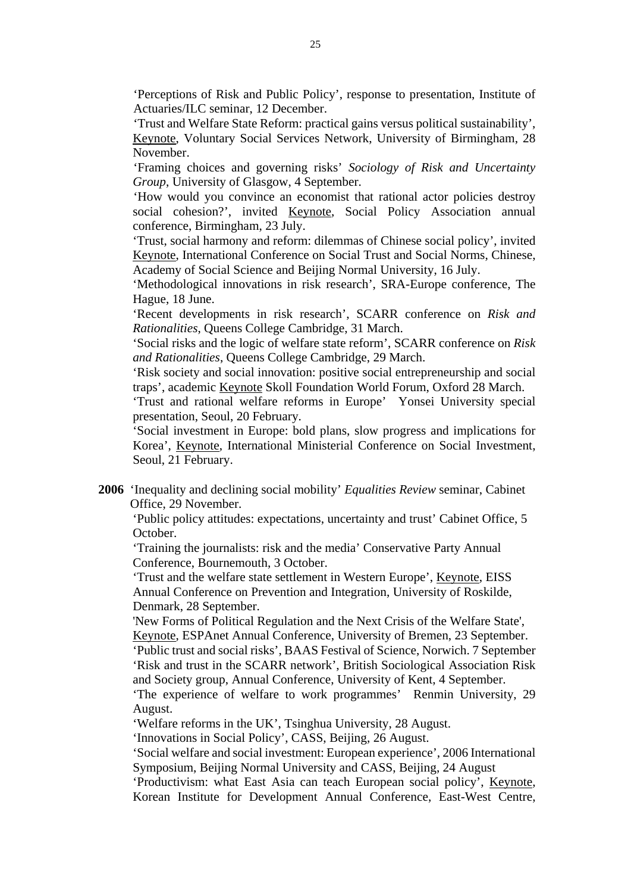'Perceptions of Risk and Public Policy', response to presentation, Institute of Actuaries/ILC seminar, 12 December.

 'Trust and Welfare State Reform: practical gains versus political sustainability', Keynote, Voluntary Social Services Network, University of Birmingham, 28 November.

 'Framing choices and governing risks' *Sociology of Risk and Uncertainty Group*, University of Glasgow, 4 September.

 'How would you convince an economist that rational actor policies destroy social cohesion?', invited Keynote, Social Policy Association annual conference, Birmingham, 23 July.

 'Trust, social harmony and reform: dilemmas of Chinese social policy', invited Keynote, International Conference on Social Trust and Social Norms, Chinese, Academy of Social Science and Beijing Normal University, 16 July.

 'Methodological innovations in risk research', SRA-Europe conference, The Hague, 18 June.

 'Recent developments in risk research', SCARR conference on *Risk and Rationalities*, Queens College Cambridge, 31 March.

 'Social risks and the logic of welfare state reform', SCARR conference on *Risk and Rationalities*, Queens College Cambridge, 29 March.

 'Risk society and social innovation: positive social entrepreneurship and social traps', academic Keynote Skoll Foundation World Forum, Oxford 28 March.

'Trust and rational welfare reforms in Europe' Yonsei University special presentation, Seoul, 20 February.

'Social investment in Europe: bold plans, slow progress and implications for Korea', Keynote, International Ministerial Conference on Social Investment, Seoul, 21 February.

**2006** 'Inequality and declining social mobility' *Equalities Review* seminar, Cabinet Office, 29 November.

'Public policy attitudes: expectations, uncertainty and trust' Cabinet Office, 5 October.

'Training the journalists: risk and the media' Conservative Party Annual Conference, Bournemouth, 3 October.

'Trust and the welfare state settlement in Western Europe', Keynote, EISS Annual Conference on Prevention and Integration, University of Roskilde, Denmark, 28 September.

'New Forms of Political Regulation and the Next Crisis of the Welfare State', Keynote, ESPAnet Annual Conference, University of Bremen, 23 September.

'Public trust and social risks', BAAS Festival of Science, Norwich. 7 September 'Risk and trust in the SCARR network', British Sociological Association Risk and Society group, Annual Conference, University of Kent, 4 September.

'The experience of welfare to work programmes' Renmin University, 29 August.

'Welfare reforms in the UK', Tsinghua University, 28 August.

'Innovations in Social Policy', CASS, Beijing, 26 August.

'Social welfare and social investment: European experience', 2006 International Symposium, Beijing Normal University and CASS, Beijing, 24 August

'Productivism: what East Asia can teach European social policy', Keynote, Korean Institute for Development Annual Conference, East-West Centre,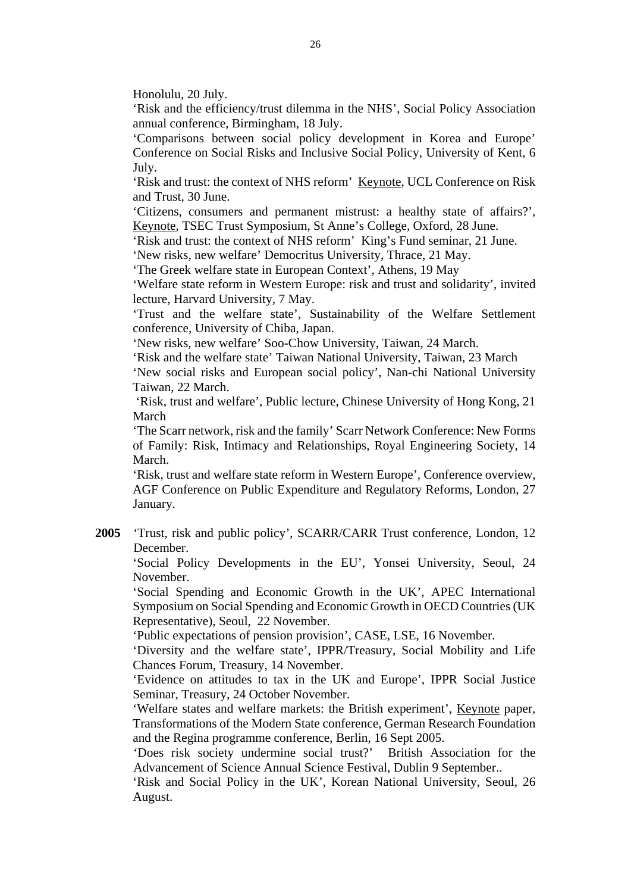Honolulu, 20 July.

'Risk and the efficiency/trust dilemma in the NHS', Social Policy Association annual conference, Birmingham, 18 July.

'Comparisons between social policy development in Korea and Europe' Conference on Social Risks and Inclusive Social Policy, University of Kent, 6 July.

'Risk and trust: the context of NHS reform' Keynote, UCL Conference on Risk and Trust, 30 June.

'Citizens, consumers and permanent mistrust: a healthy state of affairs?', Keynote, TSEC Trust Symposium, St Anne's College, Oxford, 28 June.

'Risk and trust: the context of NHS reform' King's Fund seminar, 21 June.

'New risks, new welfare' Democritus University, Thrace, 21 May.

'The Greek welfare state in European Context', Athens, 19 May

'Welfare state reform in Western Europe: risk and trust and solidarity', invited lecture, Harvard University, 7 May.

'Trust and the welfare state', Sustainability of the Welfare Settlement conference, University of Chiba, Japan.

'New risks, new welfare' Soo-Chow University, Taiwan, 24 March.

'Risk and the welfare state' Taiwan National University, Taiwan, 23 March

'New social risks and European social policy', Nan-chi National University Taiwan, 22 March.

 'Risk, trust and welfare', Public lecture, Chinese University of Hong Kong, 21 March

'The Scarr network, risk and the family' Scarr Network Conference: New Forms of Family: Risk, Intimacy and Relationships, Royal Engineering Society, 14 March.

'Risk, trust and welfare state reform in Western Europe', Conference overview, AGF Conference on Public Expenditure and Regulatory Reforms, London, 27 January.

**2005** 'Trust, risk and public policy', SCARR/CARR Trust conference, London, 12 December.

'Social Policy Developments in the EU', Yonsei University, Seoul, 24 November.

'Social Spending and Economic Growth in the UK', APEC International Symposium on Social Spending and Economic Growth in OECD Countries (UK Representative), Seoul, 22 November.

'Public expectations of pension provision', CASE, LSE, 16 November.

'Diversity and the welfare state', IPPR/Treasury, Social Mobility and Life Chances Forum, Treasury, 14 November.

'Evidence on attitudes to tax in the UK and Europe', IPPR Social Justice Seminar, Treasury, 24 October November.

'Welfare states and welfare markets: the British experiment', Keynote paper, Transformations of the Modern State conference, German Research Foundation and the Regina programme conference, Berlin, 16 Sept 2005.

'Does risk society undermine social trust?' British Association for the Advancement of Science Annual Science Festival, Dublin 9 September..

'Risk and Social Policy in the UK', Korean National University, Seoul, 26 August.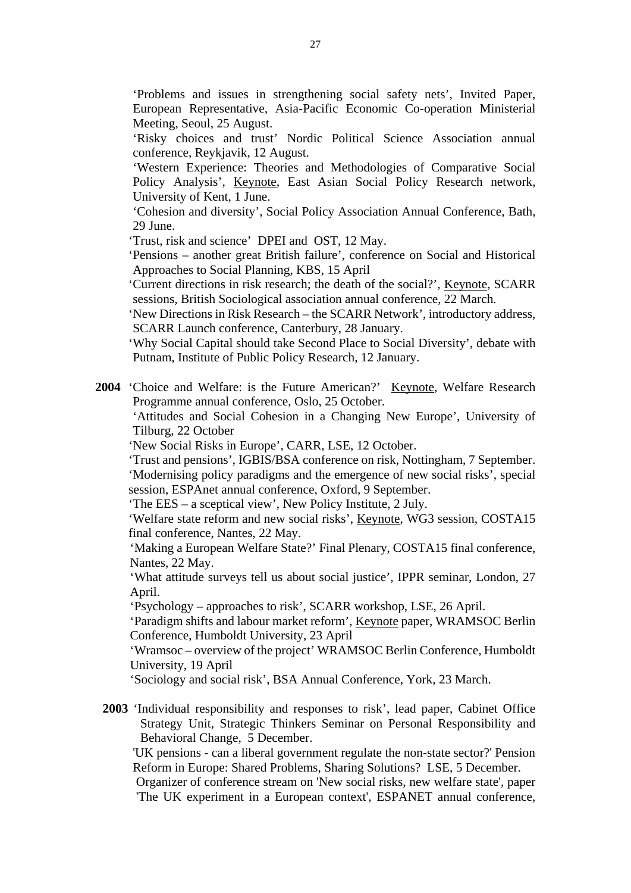'Problems and issues in strengthening social safety nets', Invited Paper, European Representative, Asia-Pacific Economic Co-operation Ministerial Meeting, Seoul, 25 August.

'Risky choices and trust' Nordic Political Science Association annual conference, Reykjavik, 12 August.

'Western Experience: Theories and Methodologies of Comparative Social Policy Analysis', Keynote, East Asian Social Policy Research network, University of Kent, 1 June.

'Cohesion and diversity', Social Policy Association Annual Conference, Bath, 29 June.

'Trust, risk and science' DPEI and OST, 12 May.

'Pensions – another great British failure', conference on Social and Historical Approaches to Social Planning, KBS, 15 April

 'Current directions in risk research; the death of the social?', Keynote, SCARR sessions, British Sociological association annual conference, 22 March.

'New Directions in Risk Research – the SCARR Network', introductory address, SCARR Launch conference, Canterbury, 28 January.

'Why Social Capital should take Second Place to Social Diversity', debate with Putnam, Institute of Public Policy Research, 12 January.

**2004** 'Choice and Welfare: is the Future American?' Keynote, Welfare Research Programme annual conference, Oslo, 25 October.

'Attitudes and Social Cohesion in a Changing New Europe', University of Tilburg, 22 October

'New Social Risks in Europe', CARR, LSE, 12 October.

'Trust and pensions', IGBIS/BSA conference on risk, Nottingham, 7 September. 'Modernising policy paradigms and the emergence of new social risks', special session, ESPAnet annual conference, Oxford, 9 September.

'The EES – a sceptical view', New Policy Institute, 2 July.

'Welfare state reform and new social risks', Keynote, WG3 session, COSTA15 final conference, Nantes, 22 May.

'Making a European Welfare State?' Final Plenary, COSTA15 final conference, Nantes, 22 May.

'What attitude surveys tell us about social justice', IPPR seminar, London, 27 April.

'Psychology – approaches to risk', SCARR workshop, LSE, 26 April.

'Paradigm shifts and labour market reform', Keynote paper, WRAMSOC Berlin Conference, Humboldt University, 23 April

'Wramsoc – overview of the project' WRAMSOC Berlin Conference, Humboldt University, 19 April

'Sociology and social risk', BSA Annual Conference, York, 23 March.

**2003** 'Individual responsibility and responses to risk', lead paper, Cabinet Office Strategy Unit, Strategic Thinkers Seminar on Personal Responsibility and Behavioral Change, 5 December.

'UK pensions - can a liberal government regulate the non-state sector?' Pension Reform in Europe: Shared Problems, Sharing Solutions? LSE, 5 December.

Organizer of conference stream on 'New social risks, new welfare state', paper 'The UK experiment in a European context', ESPANET annual conference,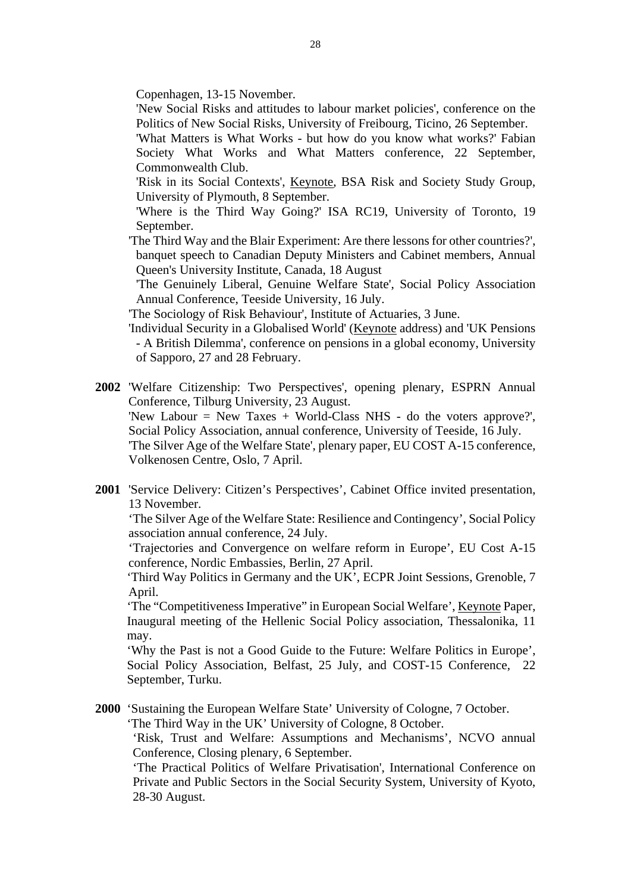Copenhagen, 13-15 November.

- 'New Social Risks and attitudes to labour market policies', conference on the Politics of New Social Risks, University of Freibourg, Ticino, 26 September.
- 'What Matters is What Works but how do you know what works?' Fabian Society What Works and What Matters conference, 22 September, Commonwealth Club.
- 'Risk in its Social Contexts', Keynote, BSA Risk and Society Study Group, University of Plymouth, 8 September.
- 'Where is the Third Way Going?' ISA RC19, University of Toronto, 19 September.
- 'The Third Way and the Blair Experiment: Are there lessons for other countries?', banquet speech to Canadian Deputy Ministers and Cabinet members, Annual Queen's University Institute, Canada, 18 August
	- 'The Genuinely Liberal, Genuine Welfare State', Social Policy Association Annual Conference, Teeside University, 16 July.
- 'The Sociology of Risk Behaviour', Institute of Actuaries, 3 June.
- 'Individual Security in a Globalised World' (Keynote address) and 'UK Pensions - A British Dilemma', conference on pensions in a global economy, University of Sapporo, 27 and 28 February.
- **2002** 'Welfare Citizenship: Two Perspectives', opening plenary, ESPRN Annual Conference, Tilburg University, 23 August. 'New Labour = New Taxes + World-Class NHS - do the voters approve?', Social Policy Association, annual conference, University of Teeside, 16 July. 'The Silver Age of the Welfare State', plenary paper, EU COST A-15 conference, Volkenosen Centre, Oslo, 7 April.
- **2001** 'Service Delivery: Citizen's Perspectives', Cabinet Office invited presentation, 13 November.

'The Silver Age of the Welfare State: Resilience and Contingency', Social Policy association annual conference, 24 July.

'Trajectories and Convergence on welfare reform in Europe', EU Cost A-15 conference, Nordic Embassies, Berlin, 27 April.

'Third Way Politics in Germany and the UK', ECPR Joint Sessions, Grenoble, 7 April.

'The "Competitiveness Imperative" in European Social Welfare', Keynote Paper, Inaugural meeting of the Hellenic Social Policy association, Thessalonika, 11 may.

'Why the Past is not a Good Guide to the Future: Welfare Politics in Europe', Social Policy Association, Belfast, 25 July, and COST-15 Conference, 22 September, Turku.

**2000** 'Sustaining the European Welfare State' University of Cologne, 7 October.

'The Third Way in the UK' University of Cologne, 8 October.

'Risk, Trust and Welfare: Assumptions and Mechanisms', NCVO annual Conference, Closing plenary, 6 September.

'The Practical Politics of Welfare Privatisation', International Conference on Private and Public Sectors in the Social Security System, University of Kyoto, 28-30 August.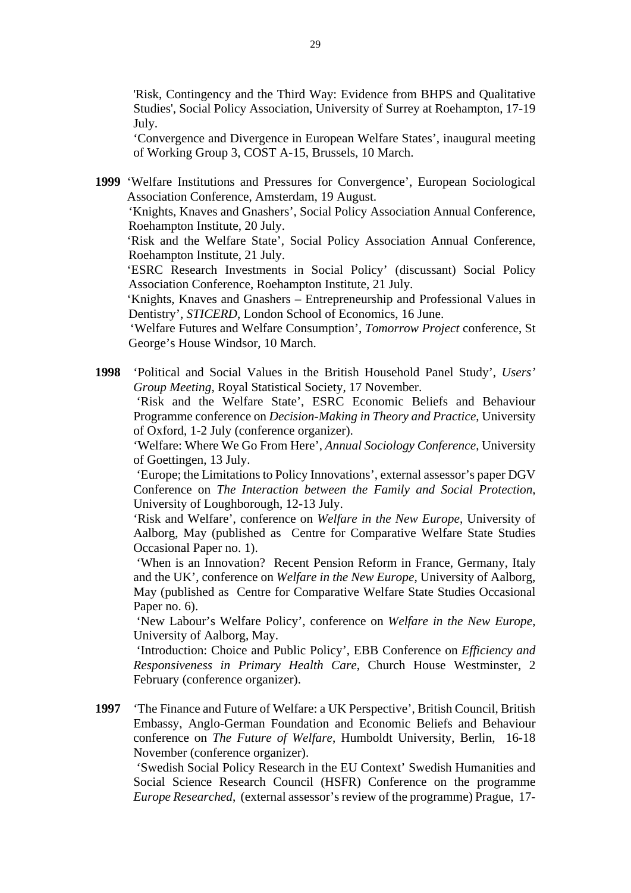'Risk, Contingency and the Third Way: Evidence from BHPS and Qualitative Studies', Social Policy Association, University of Surrey at Roehampton, 17-19 July.

'Convergence and Divergence in European Welfare States', inaugural meeting of Working Group 3, COST A-15, Brussels, 10 March.

**1999** 'Welfare Institutions and Pressures for Convergence', European Sociological Association Conference, Amsterdam, 19 August.

'Knights, Knaves and Gnashers', Social Policy Association Annual Conference, Roehampton Institute, 20 July.

'Risk and the Welfare State', Social Policy Association Annual Conference, Roehampton Institute, 21 July.

'ESRC Research Investments in Social Policy' (discussant) Social Policy Association Conference, Roehampton Institute, 21 July.

'Knights, Knaves and Gnashers – Entrepreneurship and Professional Values in Dentistry', *STICERD*, London School of Economics, 16 June.

 'Welfare Futures and Welfare Consumption', *Tomorrow Project* conference, St George's House Windsor, 10 March.

**1998** 'Political and Social Values in the British Household Panel Study', *Users' Group Meeting*, Royal Statistical Society, 17 November.

 'Risk and the Welfare State', ESRC Economic Beliefs and Behaviour Programme conference on *Decision-Making in Theory and Practice*, University of Oxford, 1-2 July (conference organizer).

 'Welfare: Where We Go From Here', *Annual Sociology Conference*, University of Goettingen, 13 July.

 'Europe; the Limitations to Policy Innovations', external assessor's paper DGV Conference on *The Interaction between the Family and Social Protection*, University of Loughborough, 12-13 July.

 'Risk and Welfare', conference on *Welfare in the New Europe*, University of Aalborg, May (published as Centre for Comparative Welfare State Studies Occasional Paper no. 1).

 'When is an Innovation? Recent Pension Reform in France, Germany, Italy and the UK', conference on *Welfare in the New Europe*, University of Aalborg, May (published as Centre for Comparative Welfare State Studies Occasional Paper no. 6).

 'New Labour's Welfare Policy', conference on *Welfare in the New Europe*, University of Aalborg, May.

 'Introduction: Choice and Public Policy', EBB Conference on *Efficiency and Responsiveness in Primary Health Care*, Church House Westminster, 2 February (conference organizer).

**1997** 'The Finance and Future of Welfare: a UK Perspective', British Council, British Embassy, Anglo-German Foundation and Economic Beliefs and Behaviour conference on *The Future of Welfare*, Humboldt University, Berlin, 16-18 November (conference organizer).

 'Swedish Social Policy Research in the EU Context' Swedish Humanities and Social Science Research Council (HSFR) Conference on the programme *Europe Researched*, (external assessor's review of the programme) Prague, 17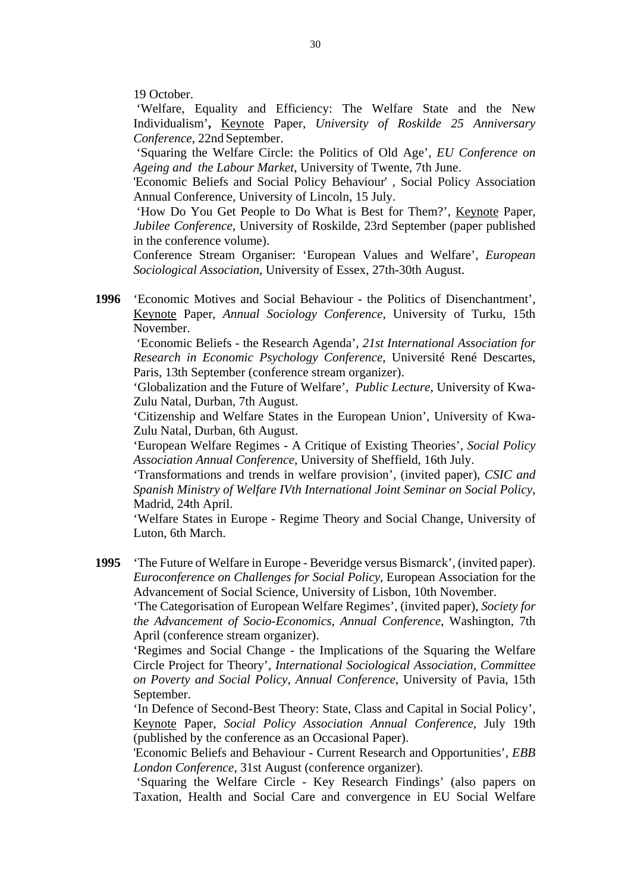19 October.

 'Welfare, Equality and Efficiency: The Welfare State and the New Individualism'**,** Keynote Paper, *University of Roskilde 25 Anniversary Conference*, 22nd September.

 'Squaring the Welfare Circle: the Politics of Old Age', *EU Conference on Ageing and the Labour Market*, University of Twente, 7th June.

'Economic Beliefs and Social Policy Behaviour' , Social Policy Association Annual Conference, University of Lincoln, 15 July.

 'How Do You Get People to Do What is Best for Them?', Keynote Paper, *Jubilee Conference*, University of Roskilde, 23rd September (paper published in the conference volume).

Conference Stream Organiser: 'European Values and Welfare', *European Sociological Association*, University of Essex, 27th-30th August.

**1996** 'Economic Motives and Social Behaviour - the Politics of Disenchantment', Keynote Paper, *Annual Sociology Conference*, University of Turku, 15th November.

 'Economic Beliefs - the Research Agenda', *21st International Association for Research in Economic Psychology Conference*, Université René Descartes, Paris, 13th September (conference stream organizer).

'Globalization and the Future of Welfare', *Public Lecture*, University of Kwa-Zulu Natal, Durban, 7th August.

'Citizenship and Welfare States in the European Union', University of Kwa-Zulu Natal, Durban, 6th August.

'European Welfare Regimes - A Critique of Existing Theories', *Social Policy Association Annual Conference*, University of Sheffield, 16th July.

'Transformations and trends in welfare provision', (invited paper), *CSIC and Spanish Ministry of Welfare IVth International Joint Seminar on Social Policy*, Madrid, 24th April.

'Welfare States in Europe - Regime Theory and Social Change, University of Luton, 6th March.

**1995** 'The Future of Welfare in Europe - Beveridge versus Bismarck', (invited paper). *Euroconference on Challenges for Social Policy*, European Association for the Advancement of Social Science, University of Lisbon, 10th November.

'The Categorisation of European Welfare Regimes', (invited paper), *Society for the Advancement of Socio-Economics, Annual Conference*, Washington, 7th April (conference stream organizer).

'Regimes and Social Change - the Implications of the Squaring the Welfare Circle Project for Theory', *International Sociological Association, Committee on Poverty and Social Policy, Annual Conference*, University of Pavia, 15th September.

'In Defence of Second-Best Theory: State, Class and Capital in Social Policy', Keynote Paper, *Social Policy Association Annual Conference*, July 19th (published by the conference as an Occasional Paper).

'Economic Beliefs and Behaviour - Current Research and Opportunities', *EBB London Conference*, 31st August (conference organizer).

 'Squaring the Welfare Circle - Key Research Findings' (also papers on Taxation, Health and Social Care and convergence in EU Social Welfare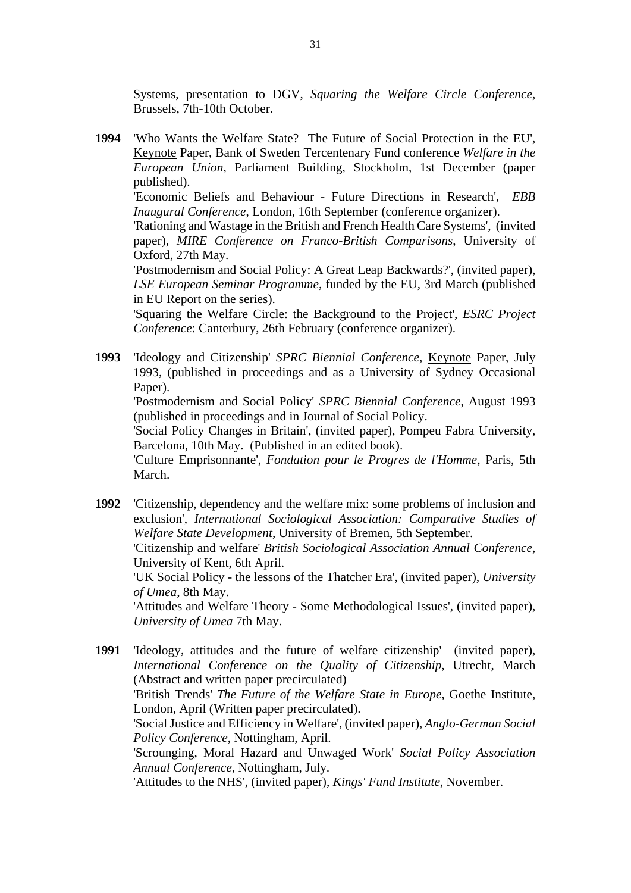Systems, presentation to DGV, *Squaring the Welfare Circle Conference*, Brussels, 7th-10th October.

**1994** 'Who Wants the Welfare State? The Future of Social Protection in the EU', Keynote Paper, Bank of Sweden Tercentenary Fund conference *Welfare in the European Union*, Parliament Building, Stockholm, 1st December (paper published). 'Economic Beliefs and Behaviour - Future Directions in Research', *EBB* 

*Inaugural Conference*, London, 16th September (conference organizer).

'Rationing and Wastage in the British and French Health Care Systems', (invited paper), *MIRE Conference on Franco-British Comparisons*, University of Oxford, 27th May.

'Postmodernism and Social Policy: A Great Leap Backwards?', (invited paper), *LSE European Seminar Programme*, funded by the EU, 3rd March (published in EU Report on the series).

'Squaring the Welfare Circle: the Background to the Project', *ESRC Project Conference*: Canterbury, 26th February (conference organizer).

**1993** 'Ideology and Citizenship' *SPRC Biennial Conference*, Keynote Paper, July 1993, (published in proceedings and as a University of Sydney Occasional Paper).

'Postmodernism and Social Policy' *SPRC Biennial Conference*, August 1993 (published in proceedings and in Journal of Social Policy.

'Social Policy Changes in Britain', (invited paper), Pompeu Fabra University, Barcelona, 10th May. (Published in an edited book).

'Culture Emprisonnante', *Fondation pour le Progres de l'Homme*, Paris, 5th March.

**1992** 'Citizenship, dependency and the welfare mix: some problems of inclusion and exclusion', *International Sociological Association: Comparative Studies of Welfare State Development*, University of Bremen, 5th September.

'Citizenship and welfare' *British Sociological Association Annual Conference*, University of Kent, 6th April.

'UK Social Policy - the lessons of the Thatcher Era', (invited paper), *University of Umea*, 8th May.

'Attitudes and Welfare Theory - Some Methodological Issues', (invited paper), *University of Umea* 7th May.

**1991** 'Ideology, attitudes and the future of welfare citizenship' (invited paper), *International Conference on the Quality of Citizenship*, Utrecht, March (Abstract and written paper precirculated) 'British Trends' *The Future of the Welfare State in Europe*, Goethe Institute, London, April (Written paper precirculated). 'Social Justice and Efficiency in Welfare', (invited paper), *Anglo-German Social Policy Conference*, Nottingham, April. 'Scrounging, Moral Hazard and Unwaged Work' *Social Policy Association Annual Conference*, Nottingham, July. 'Attitudes to the NHS', (invited paper), *Kings' Fund Institute*, November.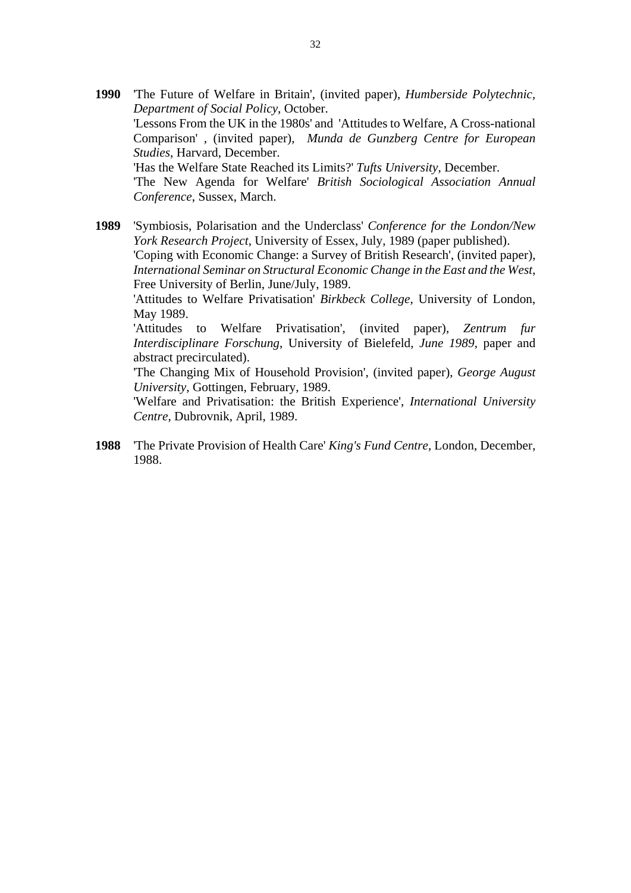**1990** 'The Future of Welfare in Britain', (invited paper), *Humberside Polytechnic, Department of Social Policy*, October. 'Lessons From the UK in the 1980s' and 'Attitudes to Welfare, A Cross-national Comparison' , (invited paper), *Munda de Gunzberg Centre for European Studies*, Harvard, December. 'Has the Welfare State Reached its Limits?' *Tufts University*, December. 'The New Agenda for Welfare' *British Sociological Association Annual Conference*, Sussex, March.

**1989** 'Symbiosis, Polarisation and the Underclass' *Conference for the London/New York Research Project*, University of Essex, July, 1989 (paper published). 'Coping with Economic Change: a Survey of British Research', (invited paper), *International Seminar on Structural Economic Change in the East and the West*, Free University of Berlin, June/July, 1989.

'Attitudes to Welfare Privatisation' *Birkbeck College*, University of London, May 1989.

'Attitudes to Welfare Privatisation', (invited paper), *Zentrum fur Interdisciplinare Forschung*, University of Bielefeld*, June 1989*, paper and abstract precirculated).

'The Changing Mix of Household Provision', (invited paper), *George August University*, Gottingen, February, 1989.

'Welfare and Privatisation: the British Experience', *International University Centre*, Dubrovnik, April, 1989.

**1988** 'The Private Provision of Health Care' *King's Fund Centre*, London, December, 1988.